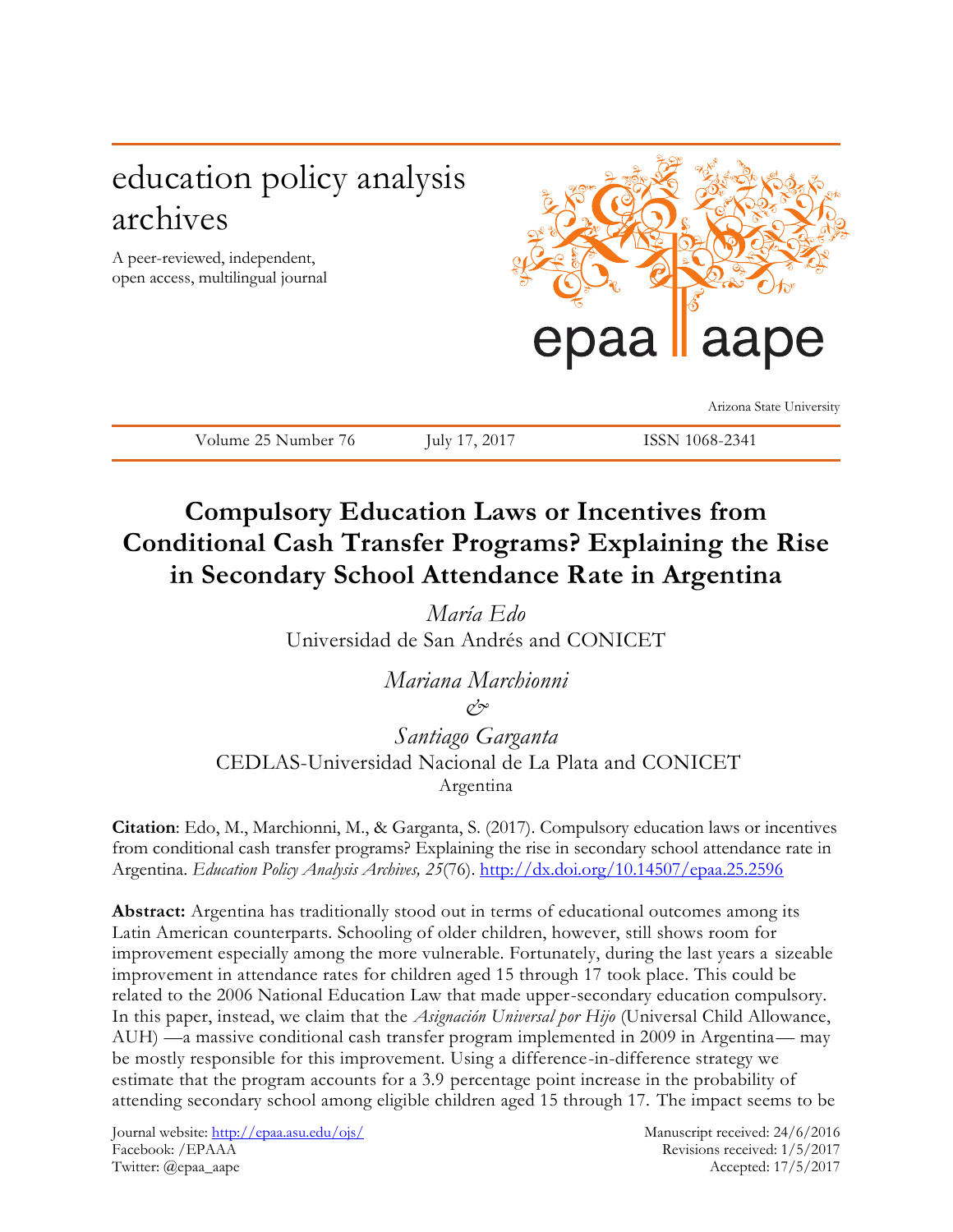# education policy analysis archives

A peer-reviewed, independent, open access, multilingual journal



Arizona State University

Volume 25 Number 76 July 17, 2017 ISSN 1068-2341

# **Compulsory Education Laws or Incentives from Conditional Cash Transfer Programs? Explaining the Rise in Secondary School Attendance Rate in Argentina**

*María Edo* Universidad de San Andrés and CONICET

> *Mariana Marchionni &*

*Santiago Garganta* CEDLAS-Universidad Nacional de La Plata and CONICET Argentina

**Citation**: Edo, M., Marchionni, M., & Garganta, S. (2017). Compulsory education laws or incentives from conditional cash transfer programs? Explaining the rise in secondary school attendance rate in Argentina. *Education Policy Analysis Archives, 25*(76). <http://dx.doi.org/10.14507/epaa.25.2596>

**Abstract:** Argentina has traditionally stood out in terms of educational outcomes among its Latin American counterparts. Schooling of older children, however, still shows room for improvement especially among the more vulnerable. Fortunately, during the last years a sizeable improvement in attendance rates for children aged 15 through 17 took place. This could be related to the 2006 National Education Law that made upper-secondary education compulsory. In this paper, instead, we claim that the *Asignación Universal por Hijo* (Universal Child Allowance, AUH) —a massive conditional cash transfer program implemented in 2009 in Argentina— may be mostly responsible for this improvement. Using a difference-in-difference strategy we estimate that the program accounts for a 3.9 percentage point increase in the probability of attending secondary school among eligible children aged 15 through 17. The impact seems to be

Journal website:<http://epaa.asu.edu/ojs/> Manuscript received: 24/6/2016 Facebook: /EPAAA Revisions received: 1/5/2017 Twitter: @epaa\_aape Accepted: 17/5/2017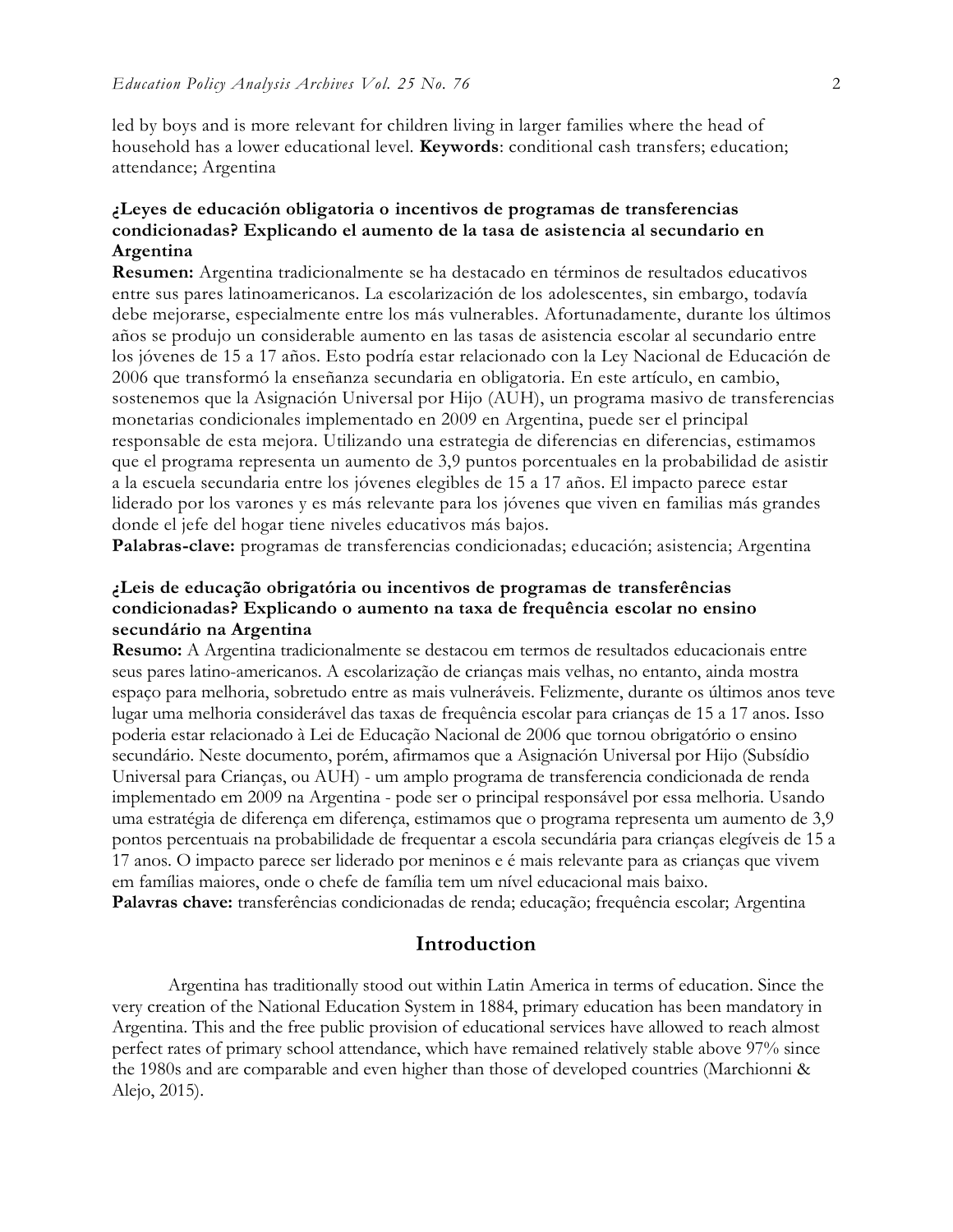led by boys and is more relevant for children living in larger families where the head of household has a lower educational level. **Keywords**: conditional cash transfers; education; attendance; Argentina

### **¿Leyes de educación obligatoria o incentivos de programas de transferencias condicionadas? Explicando el aumento de la tasa de asistencia al secundario en Argentina**

**Resumen:** Argentina tradicionalmente se ha destacado en términos de resultados educativos entre sus pares latinoamericanos. La escolarización de los adolescentes, sin embargo, todavía debe mejorarse, especialmente entre los más vulnerables. Afortunadamente, durante los últimos años se produjo un considerable aumento en las tasas de asistencia escolar al secundario entre los jóvenes de 15 a 17 años. Esto podría estar relacionado con la Ley Nacional de Educación de 2006 que transformó la enseñanza secundaria en obligatoria. En este artículo, en cambio, sostenemos que la Asignación Universal por Hijo (AUH), un programa masivo de transferencias monetarias condicionales implementado en 2009 en Argentina, puede ser el principal responsable de esta mejora. Utilizando una estrategia de diferencias en diferencias, estimamos que el programa representa un aumento de 3,9 puntos porcentuales en la probabilidad de asistir a la escuela secundaria entre los jóvenes elegibles de 15 a 17 años. El impacto parece estar liderado por los varones y es más relevante para los jóvenes que viven en familias más grandes donde el jefe del hogar tiene niveles educativos más bajos.

**Palabras-clave:** programas de transferencias condicionadas; educación; asistencia; Argentina

#### **¿Leis de educação obrigatória ou incentivos de programas de transferências condicionadas? Explicando o aumento na taxa de frequência escolar no ensino secundário na Argentina**

**Resumo:** A Argentina tradicionalmente se destacou em termos de resultados educacionais entre seus pares latino-americanos. A escolarização de crianças mais velhas, no entanto, ainda mostra espaço para melhoria, sobretudo entre as mais vulneráveis. Felizmente, durante os últimos anos teve lugar uma melhoria considerável das taxas de frequência escolar para crianças de 15 a 17 anos. Isso poderia estar relacionado à Lei de Educação Nacional de 2006 que tornou obrigatório o ensino secundário. Neste documento, porém, afirmamos que a Asignación Universal por Hijo (Subsídio Universal para Crianças, ou AUH) - um amplo programa de transferencia condicionada de renda implementado em 2009 na Argentina - pode ser o principal responsável por essa melhoria. Usando uma estratégia de diferença em diferença, estimamos que o programa representa um aumento de 3,9 pontos percentuais na probabilidade de frequentar a escola secundária para crianças elegíveis de 15 a 17 anos. O impacto parece ser liderado por meninos e é mais relevante para as crianças que vivem em famílias maiores, onde o chefe de família tem um nível educacional mais baixo. **Palavras chave:** transferências condicionadas de renda; educação; frequência escolar; Argentina

#### **Introduction**

Argentina has traditionally stood out within Latin America in terms of education. Since the very creation of the National Education System in 1884, primary education has been mandatory in Argentina. This and the free public provision of educational services have allowed to reach almost perfect rates of primary school attendance, which have remained relatively stable above 97% since the 1980s and are comparable and even higher than those of developed countries (Marchionni & Alejo, 2015).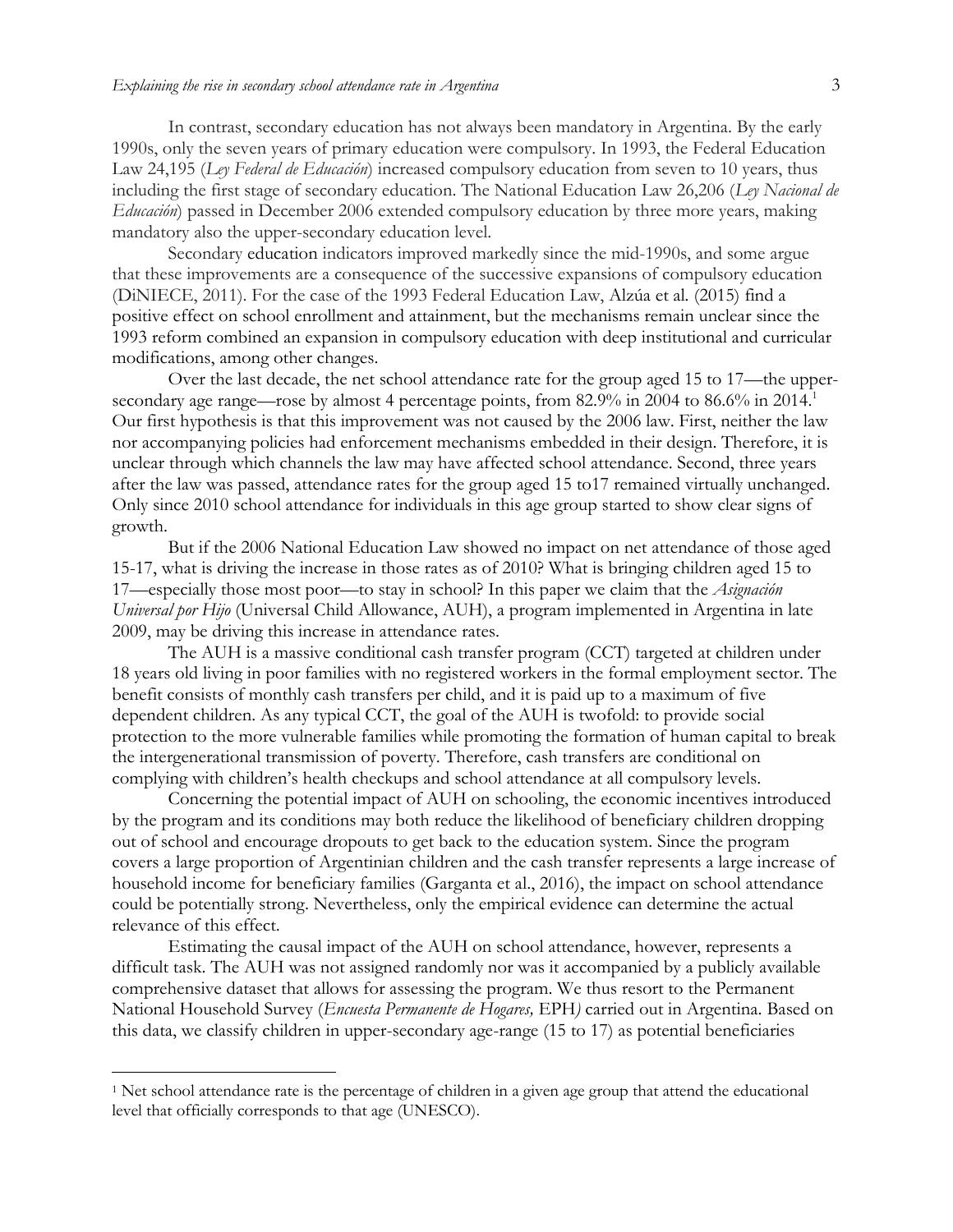In contrast, secondary education has not always been mandatory in Argentina. By the early 1990s, only the seven years of primary education were compulsory. In 1993, the Federal Education Law 24,195 (*Ley Federal de Educación*) increased compulsory education from seven to 10 years, thus including the first stage of secondary education. The National Education Law 26,206 (*Ley Nacional de Educación*) passed in December 2006 extended compulsory education by three more years, making mandatory also the upper-secondary education level.

Secondary education indicators improved markedly since the mid-1990s, and some argue that these improvements are a consequence of the successive expansions of compulsory education (DiNIECE, 2011). For the case of the 1993 Federal Education Law, Alzúa et al*.* (2015) find a positive effect on school enrollment and attainment, but the mechanisms remain unclear since the 1993 reform combined an expansion in compulsory education with deep institutional and curricular modifications, among other changes.

Over the last decade, the net school attendance rate for the group aged 15 to 17—the uppersecondary age range—rose by almost 4 percentage points, from 82.9% in 2004 to 86.6% in 2014.<sup>1</sup> Our first hypothesis is that this improvement was not caused by the 2006 law. First, neither the law nor accompanying policies had enforcement mechanisms embedded in their design. Therefore, it is unclear through which channels the law may have affected school attendance. Second, three years after the law was passed, attendance rates for the group aged 15 to17 remained virtually unchanged. Only since 2010 school attendance for individuals in this age group started to show clear signs of growth.

But if the 2006 National Education Law showed no impact on net attendance of those aged 15-17, what is driving the increase in those rates as of 2010? What is bringing children aged 15 to 17—especially those most poor—to stay in school? In this paper we claim that the *Asignación Universal por Hijo* (Universal Child Allowance, AUH), a program implemented in Argentina in late 2009, may be driving this increase in attendance rates.

The AUH is a massive conditional cash transfer program (CCT) targeted at children under 18 years old living in poor families with no registered workers in the formal employment sector. The benefit consists of monthly cash transfers per child, and it is paid up to a maximum of five dependent children. As any typical CCT, the goal of the AUH is twofold: to provide social protection to the more vulnerable families while promoting the formation of human capital to break the intergenerational transmission of poverty. Therefore, cash transfers are conditional on complying with children's health checkups and school attendance at all compulsory levels.

Concerning the potential impact of AUH on schooling, the economic incentives introduced by the program and its conditions may both reduce the likelihood of beneficiary children dropping out of school and encourage dropouts to get back to the education system. Since the program covers a large proportion of Argentinian children and the cash transfer represents a large increase of household income for beneficiary families (Garganta et al., 2016), the impact on school attendance could be potentially strong. Nevertheless, only the empirical evidence can determine the actual relevance of this effect.

Estimating the causal impact of the AUH on school attendance, however, represents a difficult task. The AUH was not assigned randomly nor was it accompanied by a publicly available comprehensive dataset that allows for assessing the program. We thus resort to the Permanent National Household Survey (*Encuesta Permanente de Hogares,* EPH*)* carried out in Argentina. Based on this data, we classify children in upper-secondary age-range (15 to 17) as potential beneficiaries

<sup>&</sup>lt;sup>1</sup> Net school attendance rate is the percentage of children in a given age group that attend the educational level that officially corresponds to that age (UNESCO).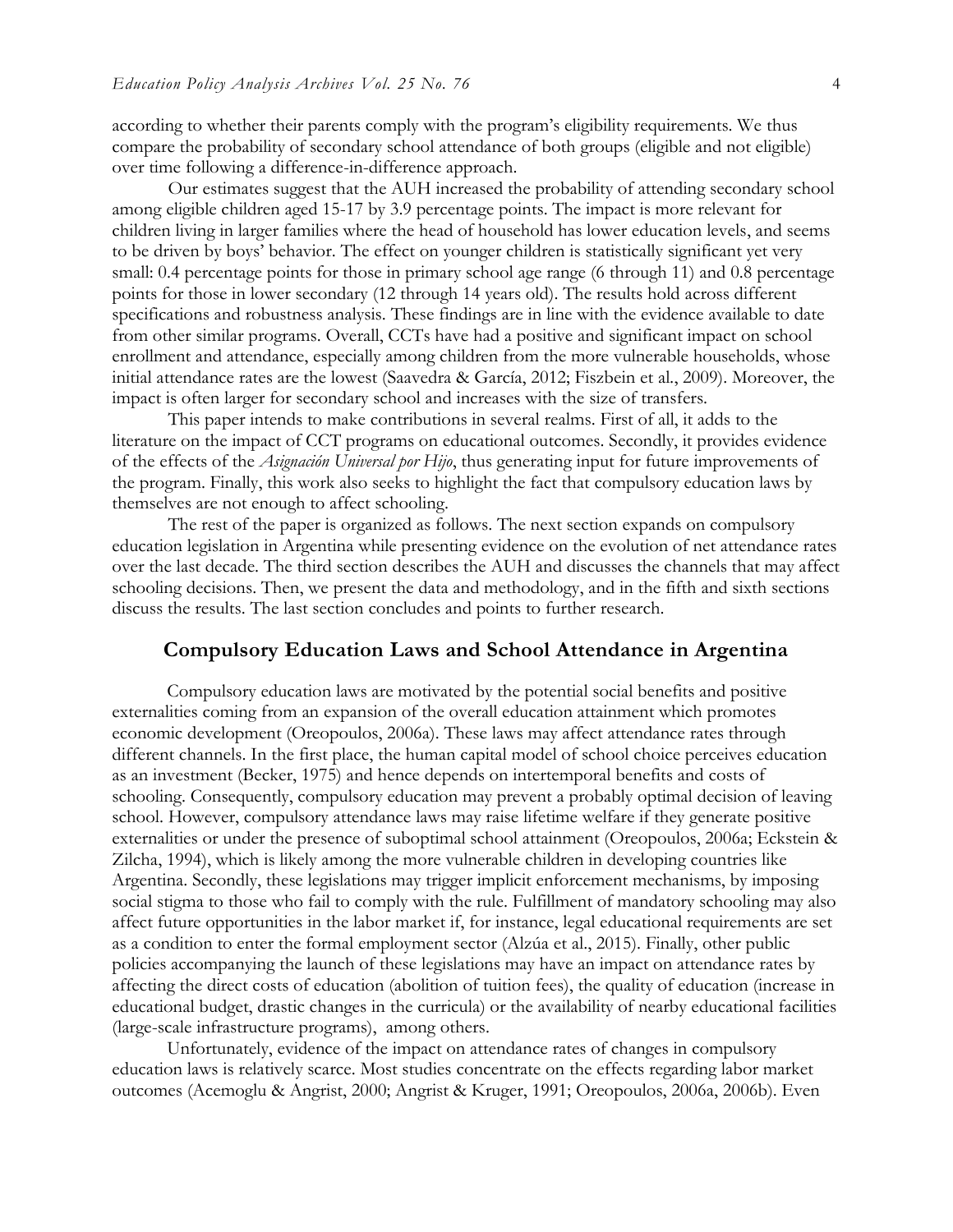according to whether their parents comply with the program's eligibility requirements. We thus compare the probability of secondary school attendance of both groups (eligible and not eligible) over time following a difference-in-difference approach.

Our estimates suggest that the AUH increased the probability of attending secondary school among eligible children aged 15-17 by 3.9 percentage points. The impact is more relevant for children living in larger families where the head of household has lower education levels, and seems to be driven by boys' behavior. The effect on younger children is statistically significant yet very small: 0.4 percentage points for those in primary school age range (6 through 11) and 0.8 percentage points for those in lower secondary (12 through 14 years old). The results hold across different specifications and robustness analysis. These findings are in line with the evidence available to date from other similar programs. Overall, CCTs have had a positive and significant impact on school enrollment and attendance, especially among children from the more vulnerable households, whose initial attendance rates are the lowest (Saavedra & García, 2012; Fiszbein et al*.*, 2009). Moreover, the impact is often larger for secondary school and increases with the size of transfers.

This paper intends to make contributions in several realms. First of all, it adds to the literature on the impact of CCT programs on educational outcomes. Secondly, it provides evidence of the effects of the *Asignación Universal por Hijo*, thus generating input for future improvements of the program. Finally, this work also seeks to highlight the fact that compulsory education laws by themselves are not enough to affect schooling.

The rest of the paper is organized as follows. The next section expands on compulsory education legislation in Argentina while presenting evidence on the evolution of net attendance rates over the last decade. The third section describes the AUH and discusses the channels that may affect schooling decisions. Then, we present the data and methodology, and in the fifth and sixth sections discuss the results. The last section concludes and points to further research.

### **Compulsory Education Laws and School Attendance in Argentina**

Compulsory education laws are motivated by the potential social benefits and positive externalities coming from an expansion of the overall education attainment which promotes economic development (Oreopoulos, 2006a). These laws may affect attendance rates through different channels. In the first place, the human capital model of school choice perceives education as an investment (Becker, 1975) and hence depends on intertemporal benefits and costs of schooling. Consequently, compulsory education may prevent a probably optimal decision of leaving school. However, compulsory attendance laws may raise lifetime welfare if they generate positive externalities or under the presence of suboptimal school attainment (Oreopoulos, 2006a; Eckstein & Zilcha, 1994), which is likely among the more vulnerable children in developing countries like Argentina. Secondly, these legislations may trigger implicit enforcement mechanisms, by imposing social stigma to those who fail to comply with the rule. Fulfillment of mandatory schooling may also affect future opportunities in the labor market if, for instance, legal educational requirements are set as a condition to enter the formal employment sector (Alzúa et al., 2015). Finally, other public policies accompanying the launch of these legislations may have an impact on attendance rates by affecting the direct costs of education (abolition of tuition fees), the quality of education (increase in educational budget, drastic changes in the curricula) or the availability of nearby educational facilities (large-scale infrastructure programs), among others.

Unfortunately, evidence of the impact on attendance rates of changes in compulsory education laws is relatively scarce. Most studies concentrate on the effects regarding labor market outcomes (Acemoglu & Angrist, 2000; Angrist & Kruger, 1991; Oreopoulos, 2006a, 2006b). Even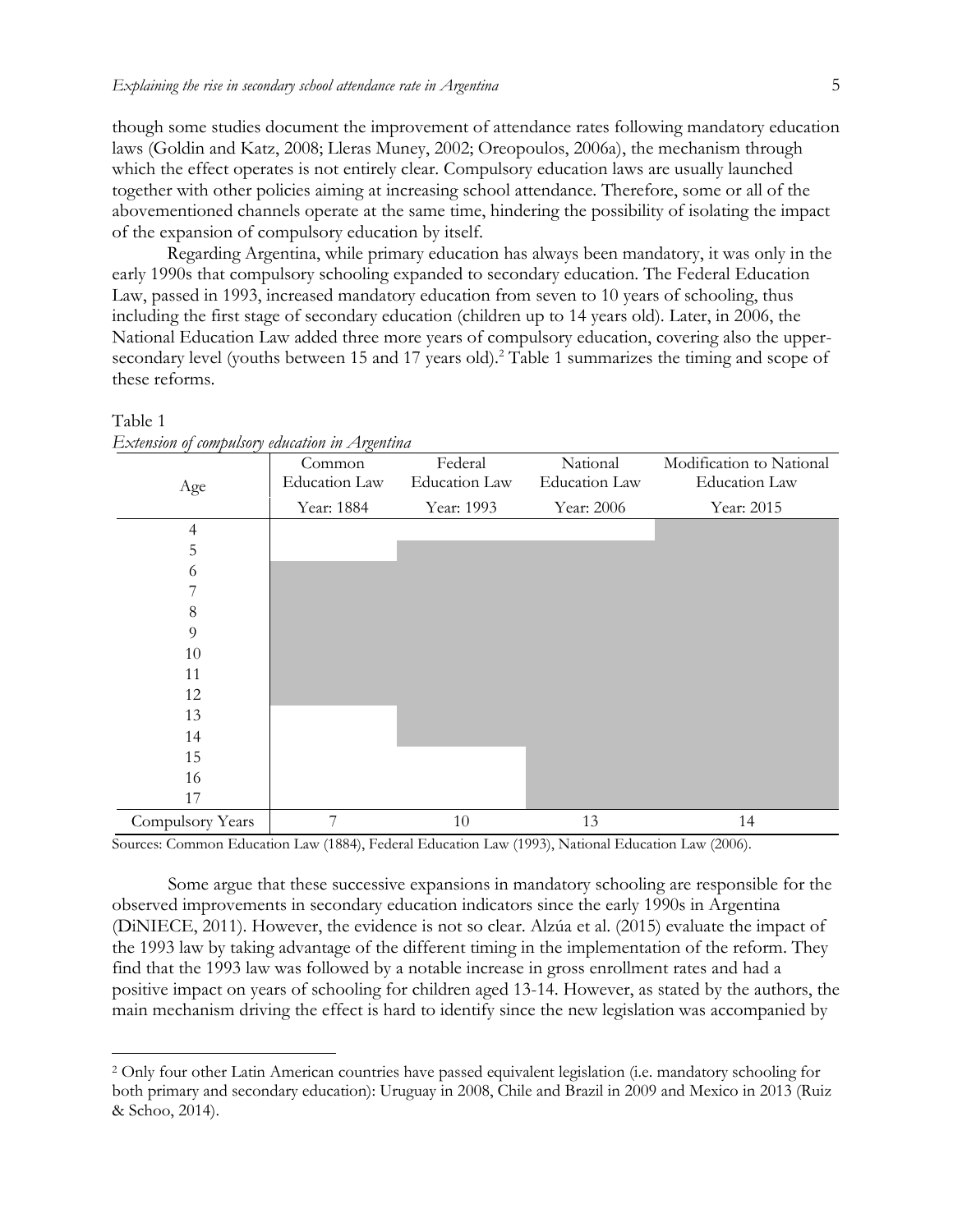though some studies document the improvement of attendance rates following mandatory education laws (Goldin and Katz, 2008; Lleras Muney, 2002; Oreopoulos, 2006a), the mechanism through which the effect operates is not entirely clear. Compulsory education laws are usually launched together with other policies aiming at increasing school attendance. Therefore, some or all of the abovementioned channels operate at the same time, hindering the possibility of isolating the impact of the expansion of compulsory education by itself.

Regarding Argentina, while primary education has always been mandatory, it was only in the early 1990s that compulsory schooling expanded to secondary education. The Federal Education Law, passed in 1993, increased mandatory education from seven to 10 years of schooling, thus including the first stage of secondary education (children up to 14 years old). Later, in 2006, the National Education Law added three more years of compulsory education, covering also the uppersecondary level (youths between 15 and 17 years old).<sup>2</sup> Table 1 summarizes the timing and scope of these reforms.

| Age              | Common<br><b>Education Law</b> | Federal<br><b>Education Law</b> | National<br><b>Education Law</b> | Modification to National<br><b>Education Law</b> |
|------------------|--------------------------------|---------------------------------|----------------------------------|--------------------------------------------------|
|                  | Year: 1884                     | Year: 1993                      | Year: 2006                       | Year: 2015                                       |
| $\overline{4}$   |                                |                                 |                                  |                                                  |
| 5                |                                |                                 |                                  |                                                  |
| 6                |                                |                                 |                                  |                                                  |
| 7                |                                |                                 |                                  |                                                  |
| $\,8\,$          |                                |                                 |                                  |                                                  |
| $\overline{9}$   |                                |                                 |                                  |                                                  |
| 10               |                                |                                 |                                  |                                                  |
| 11               |                                |                                 |                                  |                                                  |
| 12               |                                |                                 |                                  |                                                  |
| 13               |                                |                                 |                                  |                                                  |
| 14               |                                |                                 |                                  |                                                  |
| 15               |                                |                                 |                                  |                                                  |
| 16               |                                |                                 |                                  |                                                  |
| 17               |                                |                                 |                                  |                                                  |
| Compulsory Years | 7                              | 10                              | 13                               | 14                                               |

Table 1 *Extension of compulsory education in Argentina*

 $\overline{a}$ 

Sources: Common Education Law (1884), Federal Education Law (1993), National Education Law (2006).

Some argue that these successive expansions in mandatory schooling are responsible for the observed improvements in secondary education indicators since the early 1990s in Argentina (DiNIECE, 2011). However, the evidence is not so clear. Alzúa et al. (2015) evaluate the impact of the 1993 law by taking advantage of the different timing in the implementation of the reform. They find that the 1993 law was followed by a notable increase in gross enrollment rates and had a positive impact on years of schooling for children aged 13-14. However, as stated by the authors, the main mechanism driving the effect is hard to identify since the new legislation was accompanied by

<sup>2</sup> Only four other Latin American countries have passed equivalent legislation (i.e. mandatory schooling for both primary and secondary education): Uruguay in 2008, Chile and Brazil in 2009 and Mexico in 2013 (Ruiz & Schoo, 2014).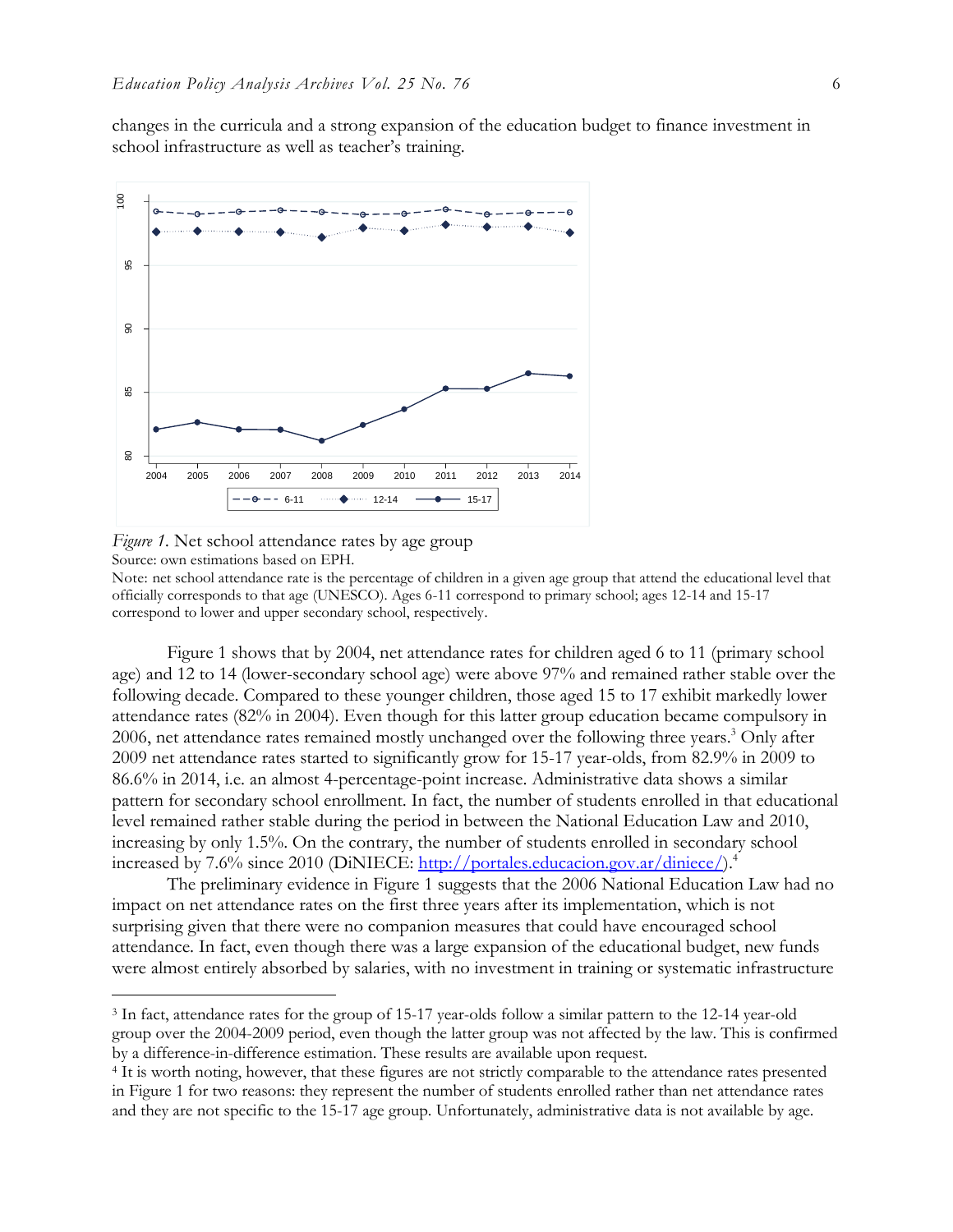changes in the curricula and a strong expansion of the education budget to finance investment in school infrastructure as well as teacher's training.



*Figure 1.* Net school attendance rates by age group Source: own estimations based on EPH.

 $\overline{a}$ 

Note: net school attendance rate is the percentage of children in a given age group that attend the educational level that officially corresponds to that age (UNESCO). Ages 6-11 correspond to primary school; ages 12-14 and 15-17 correspond to lower and upper secondary school, respectively.

Figure 1 shows that by 2004, net attendance rates for children aged 6 to 11 (primary school age) and 12 to 14 (lower-secondary school age) were above 97% and remained rather stable over the following decade. Compared to these younger children, those aged 15 to 17 exhibit markedly lower attendance rates (82% in 2004). Even though for this latter group education became compulsory in 2006, net attendance rates remained mostly unchanged over the following three years. <sup>3</sup> Only after 2009 net attendance rates started to significantly grow for 15-17 year-olds, from 82.9% in 2009 to 86.6% in 2014, i.e. an almost 4-percentage-point increase. Administrative data shows a similar pattern for secondary school enrollment. In fact, the number of students enrolled in that educational level remained rather stable during the period in between the National Education Law and 2010, increasing by only 1.5%. On the contrary, the number of students enrolled in secondary school increased by 7.6% since 2010 (DiNIECE: [http://portales.educacion.gov.ar/diniece/\)](http://portales.educacion.gov.ar/diniece/).<sup>4</sup>

The preliminary evidence in Figure 1 suggests that the 2006 National Education Law had no impact on net attendance rates on the first three years after its implementation, which is not surprising given that there were no companion measures that could have encouraged school attendance. In fact, even though there was a large expansion of the educational budget, new funds were almost entirely absorbed by salaries, with no investment in training or systematic infrastructure

<sup>3</sup> In fact, attendance rates for the group of 15-17 year-olds follow a similar pattern to the 12-14 year-old group over the 2004-2009 period, even though the latter group was not affected by the law. This is confirmed by a difference-in-difference estimation. These results are available upon request.

<sup>&</sup>lt;sup>4</sup> It is worth noting, however, that these figures are not strictly comparable to the attendance rates presented in Figure 1 for two reasons: they represent the number of students enrolled rather than net attendance rates and they are not specific to the 15-17 age group. Unfortunately, administrative data is not available by age.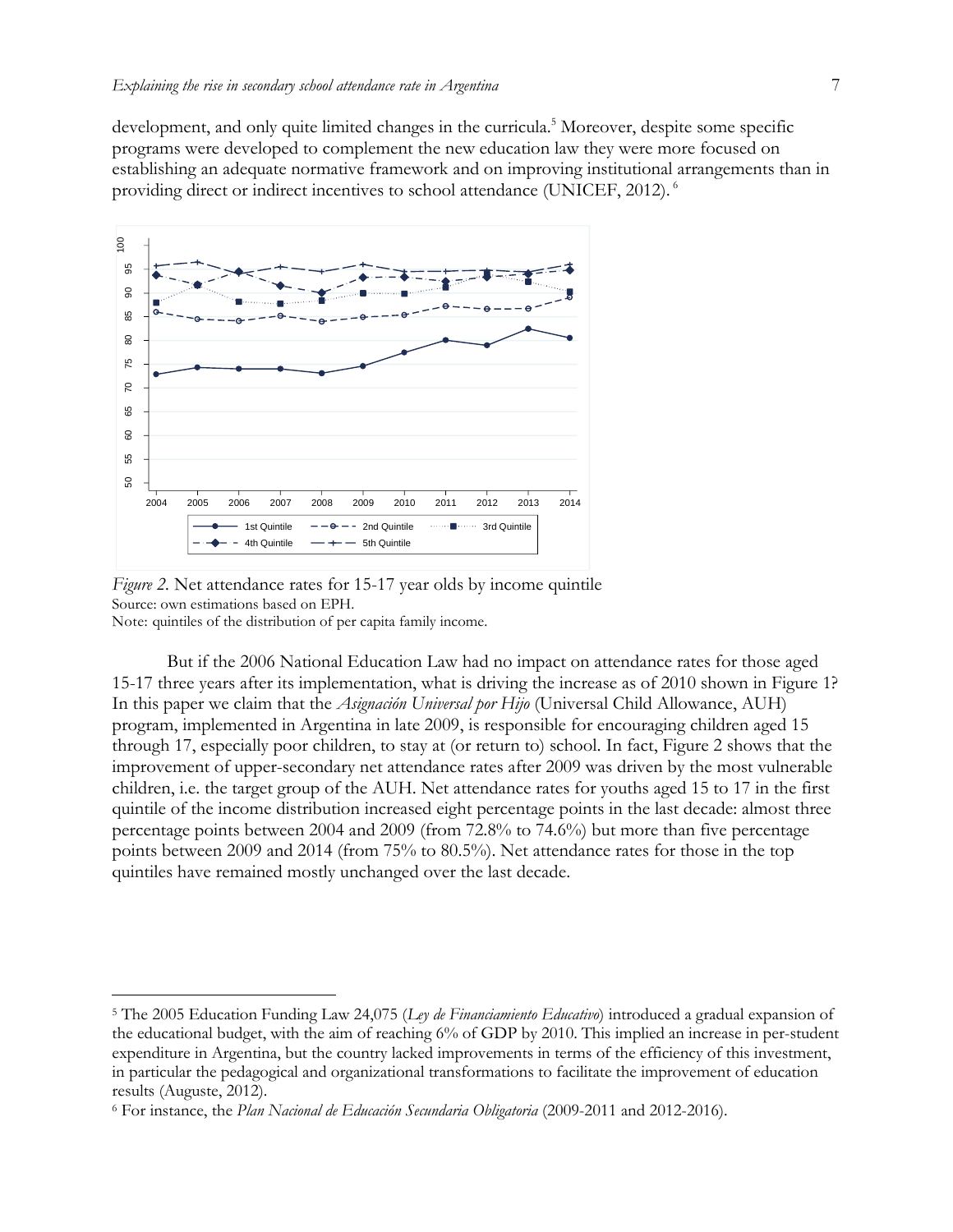development, and only quite limited changes in the curricula.<sup>5</sup> Moreover, despite some specific programs were developed to complement the new education law they were more focused on establishing an adequate normative framework and on improving institutional arrangements than in providing direct or indirect incentives to school attendance (UNICEF, 2012). <sup>6</sup>



*Figure 2.* Net attendance rates for 15-17 year olds by income quintile Source: own estimations based on EPH. Note: quintiles of the distribution of per capita family income.

 $\overline{a}$ 

But if the 2006 National Education Law had no impact on attendance rates for those aged 15-17 three years after its implementation, what is driving the increase as of 2010 shown in Figure 1? In this paper we claim that the *Asignación Universal por Hijo* (Universal Child Allowance, AUH) program, implemented in Argentina in late 2009, is responsible for encouraging children aged 15 through 17, especially poor children, to stay at (or return to) school. In fact, Figure 2 shows that the improvement of upper-secondary net attendance rates after 2009 was driven by the most vulnerable children, i.e. the target group of the AUH. Net attendance rates for youths aged 15 to 17 in the first quintile of the income distribution increased eight percentage points in the last decade: almost three percentage points between 2004 and 2009 (from 72.8% to 74.6%) but more than five percentage points between 2009 and 2014 (from 75% to 80.5%). Net attendance rates for those in the top quintiles have remained mostly unchanged over the last decade.

<sup>5</sup> The 2005 Education Funding Law 24,075 (*Ley de Financiamiento Educativo*) introduced a gradual expansion of the educational budget, with the aim of reaching 6% of GDP by 2010. This implied an increase in per-student expenditure in Argentina, but the country lacked improvements in terms of the efficiency of this investment, in particular the pedagogical and organizational transformations to facilitate the improvement of education results (Auguste, 2012).

<sup>6</sup> For instance, the *Plan Nacional de Educación Secundaria Obligatoria* (2009-2011 and 2012-2016).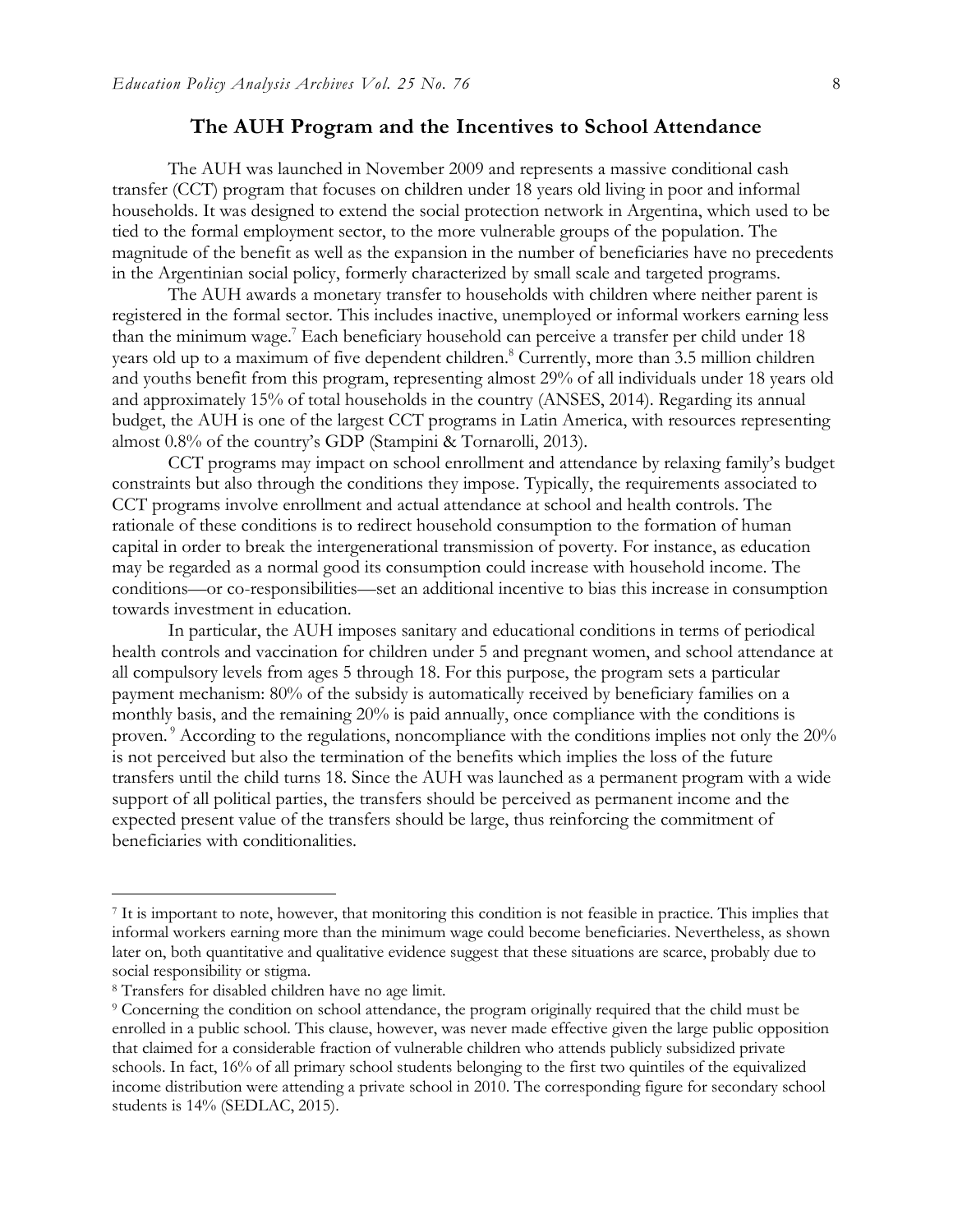# **The AUH Program and the Incentives to School Attendance**

The AUH was launched in November 2009 and represents a massive conditional cash transfer (CCT) program that focuses on children under 18 years old living in poor and informal households. It was designed to extend the social protection network in Argentina, which used to be tied to the formal employment sector, to the more vulnerable groups of the population. The magnitude of the benefit as well as the expansion in the number of beneficiaries have no precedents in the Argentinian social policy, formerly characterized by small scale and targeted programs.

The AUH awards a monetary transfer to households with children where neither parent is registered in the formal sector. This includes inactive, unemployed or informal workers earning less than the minimum wage.<sup>7</sup> Each beneficiary household can perceive a transfer per child under 18 years old up to a maximum of five dependent children.<sup>8</sup> Currently, more than 3.5 million children and youths benefit from this program, representing almost 29% of all individuals under 18 years old and approximately 15% of total households in the country (ANSES, 2014). Regarding its annual budget, the AUH is one of the largest CCT programs in Latin America, with resources representing almost 0.8% of the country's GDP (Stampini & Tornarolli, 2013).

CCT programs may impact on school enrollment and attendance by relaxing family's budget constraints but also through the conditions they impose. Typically, the requirements associated to CCT programs involve enrollment and actual attendance at school and health controls. The rationale of these conditions is to redirect household consumption to the formation of human capital in order to break the intergenerational transmission of poverty. For instance, as education may be regarded as a normal good its consumption could increase with household income. The conditions—or co-responsibilities—set an additional incentive to bias this increase in consumption towards investment in education.

In particular, the AUH imposes sanitary and educational conditions in terms of periodical health controls and vaccination for children under 5 and pregnant women, and school attendance at all compulsory levels from ages 5 through 18. For this purpose, the program sets a particular payment mechanism: 80% of the subsidy is automatically received by beneficiary families on a monthly basis, and the remaining 20% is paid annually, once compliance with the conditions is proven.<sup>9</sup> According to the regulations, noncompliance with the conditions implies not only the 20% is not perceived but also the termination of the benefits which implies the loss of the future transfers until the child turns 18. Since the AUH was launched as a permanent program with a wide support of all political parties, the transfers should be perceived as permanent income and the expected present value of the transfers should be large, thus reinforcing the commitment of beneficiaries with conditionalities.

<sup>7</sup> It is important to note, however, that monitoring this condition is not feasible in practice. This implies that informal workers earning more than the minimum wage could become beneficiaries. Nevertheless, as shown later on, both quantitative and qualitative evidence suggest that these situations are scarce, probably due to social responsibility or stigma.

<sup>8</sup> Transfers for disabled children have no age limit.

<sup>9</sup> Concerning the condition on school attendance, the program originally required that the child must be enrolled in a public school. This clause, however, was never made effective given the large public opposition that claimed for a considerable fraction of vulnerable children who attends publicly subsidized private schools. In fact, 16% of all primary school students belonging to the first two quintiles of the equivalized income distribution were attending a private school in 2010. The corresponding figure for secondary school students is 14% (SEDLAC, 2015).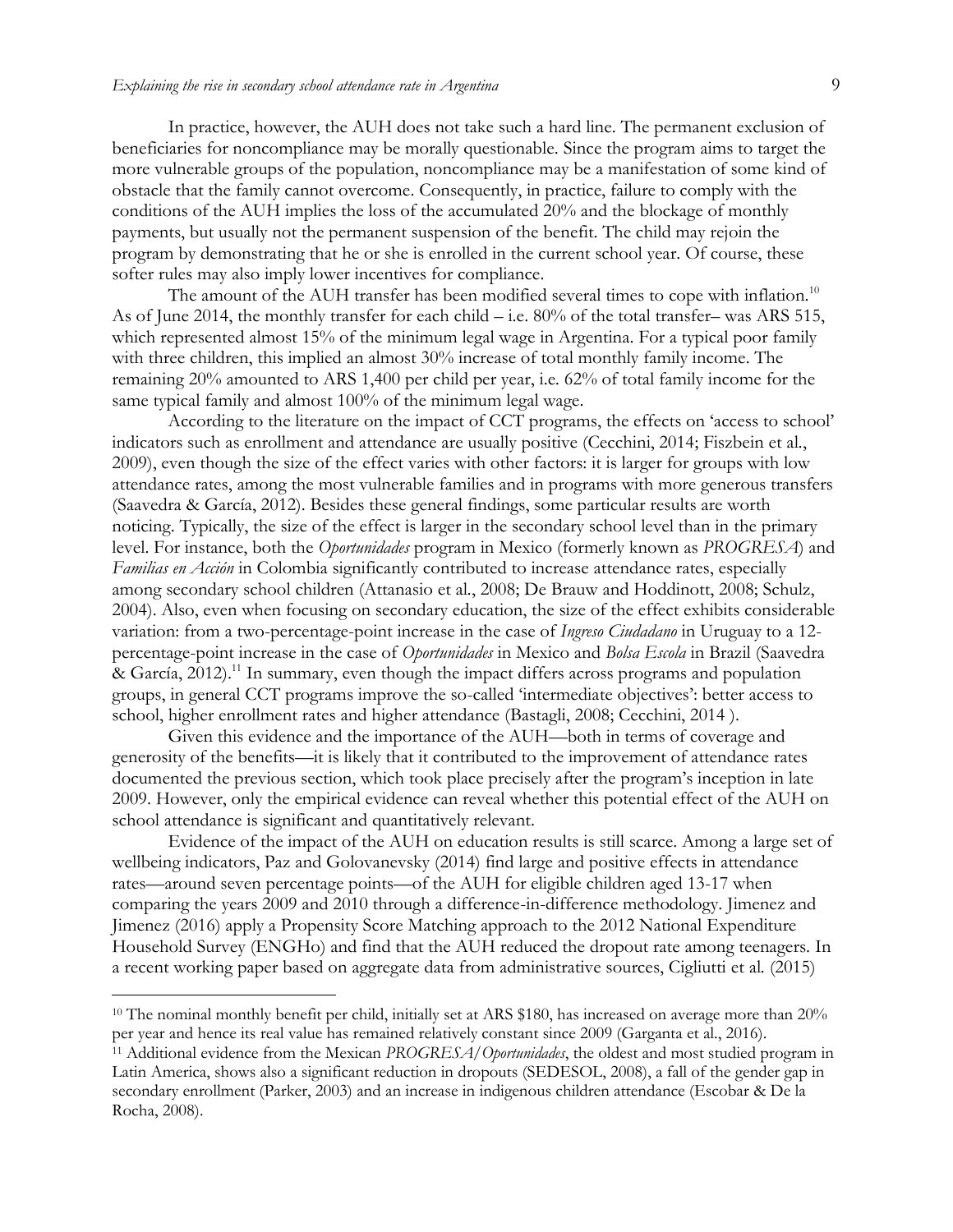In practice, however, the AUH does not take such a hard line. The permanent exclusion of beneficiaries for noncompliance may be morally questionable. Since the program aims to target the more vulnerable groups of the population, noncompliance may be a manifestation of some kind of obstacle that the family cannot overcome. Consequently, in practice, failure to comply with the conditions of the AUH implies the loss of the accumulated 20% and the blockage of monthly payments, but usually not the permanent suspension of the benefit. The child may rejoin the program by demonstrating that he or she is enrolled in the current school year. Of course, these softer rules may also imply lower incentives for compliance.

The amount of the AUH transfer has been modified several times to cope with inflation.<sup>10</sup> As of June 2014, the monthly transfer for each child – i.e. 80% of the total transfer– was ARS 515, which represented almost 15% of the minimum legal wage in Argentina. For a typical poor family with three children, this implied an almost 30% increase of total monthly family income. The remaining 20% amounted to ARS 1,400 per child per year, i.e*.* 62% of total family income for the same typical family and almost 100% of the minimum legal wage.

According to the literature on the impact of CCT programs, the effects on 'access to school' indicators such as enrollment and attendance are usually positive (Cecchini, 2014; Fiszbein et al*.*, 2009), even though the size of the effect varies with other factors: it is larger for groups with low attendance rates, among the most vulnerable families and in programs with more generous transfers (Saavedra & García, 2012). Besides these general findings, some particular results are worth noticing. Typically, the size of the effect is larger in the secondary school level than in the primary level. For instance, both the *Oportunidades* program in Mexico (formerly known as *PROGRESA*) and *Familias en Acción* in Colombia significantly contributed to increase attendance rates, especially among secondary school children (Attanasio et al*.*, 2008; De Brauw and Hoddinott, 2008; Schulz, 2004). Also, even when focusing on secondary education, the size of the effect exhibits considerable variation: from a two-percentage-point increase in the case of *Ingreso Ciudadano* in Uruguay to a 12 percentage-point increase in the case of *Oportunidades* in Mexico and *Bolsa Escola* in Brazil (Saavedra & García,  $2012$ <sup>11</sup>. In summary, even though the impact differs across programs and population groups, in general CCT programs improve the so-called 'intermediate objectives': better access to school, higher enrollment rates and higher attendance (Bastagli, 2008; Cecchini, 2014 ).

Given this evidence and the importance of the AUH—both in terms of coverage and generosity of the benefits—it is likely that it contributed to the improvement of attendance rates documented the previous section, which took place precisely after the program's inception in late 2009. However, only the empirical evidence can reveal whether this potential effect of the AUH on school attendance is significant and quantitatively relevant.

Evidence of the impact of the AUH on education results is still scarce. Among a large set of wellbeing indicators, Paz and Golovanevsky (2014) find large and positive effects in attendance rates—around seven percentage points—of the AUH for eligible children aged 13-17 when comparing the years 2009 and 2010 through a difference-in-difference methodology. Jimenez and Jimenez (2016) apply a Propensity Score Matching approach to the 2012 National Expenditure Household Survey (ENGHo) and find that the AUH reduced the dropout rate among teenagers. In a recent working paper based on aggregate data from administrative sources, Cigliutti et al*.* (2015)

<sup>&</sup>lt;sup>10</sup> The nominal monthly benefit per child, initially set at ARS \$180, has increased on average more than 20% per year and hence its real value has remained relatively constant since 2009 (Garganta et al., 2016).

<sup>11</sup> Additional evidence from the Mexican *PROGRESA/Oportunidades*, the oldest and most studied program in Latin America, shows also a significant reduction in dropouts (SEDESOL, 2008), a fall of the gender gap in secondary enrollment (Parker, 2003) and an increase in indigenous children attendance (Escobar & De la Rocha, 2008).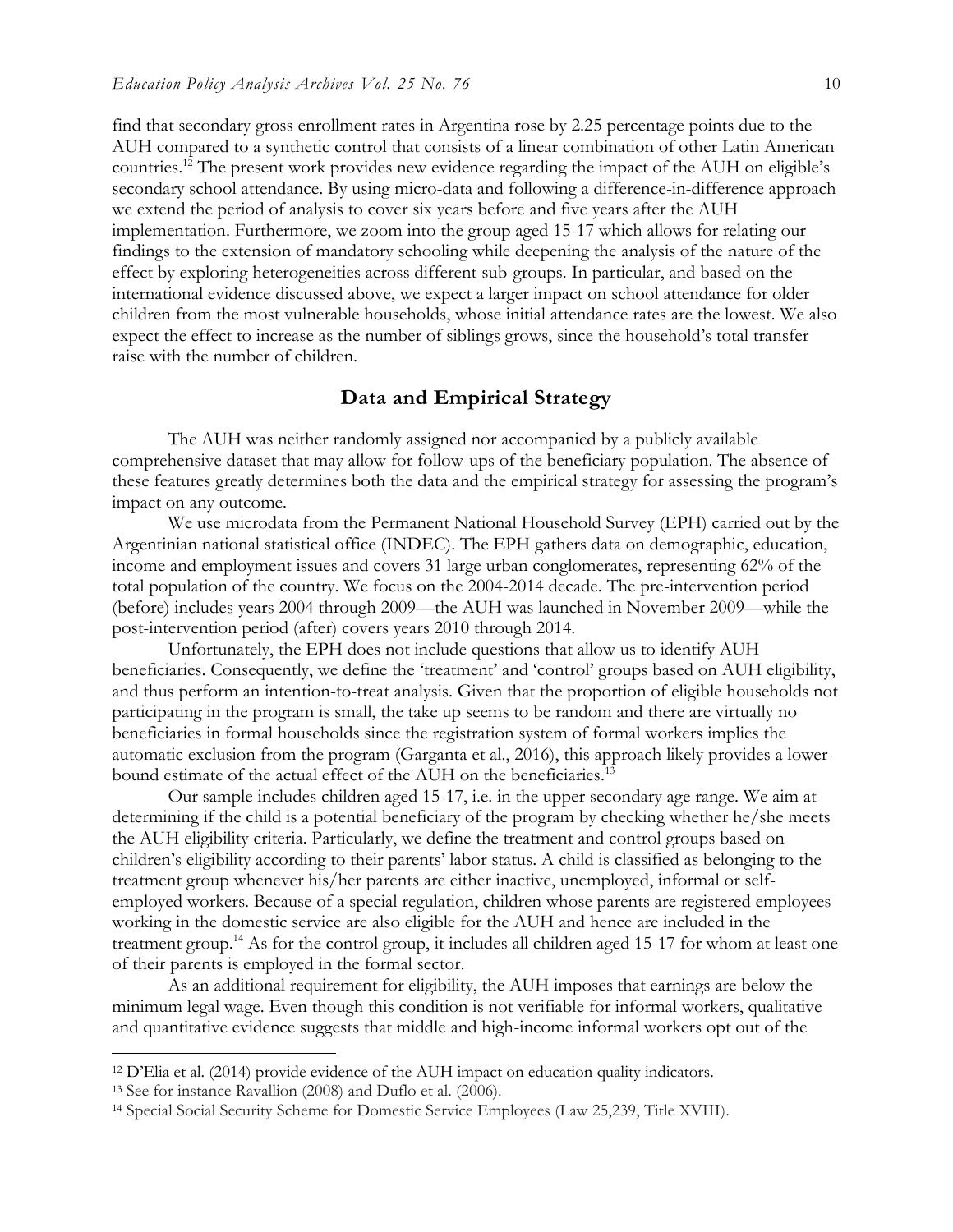find that secondary gross enrollment rates in Argentina rose by 2.25 percentage points due to the AUH compared to a synthetic control that consists of a linear combination of other Latin American countries.<sup>12</sup> The present work provides new evidence regarding the impact of the AUH on eligible's secondary school attendance. By using micro-data and following a difference-in-difference approach we extend the period of analysis to cover six years before and five years after the AUH implementation. Furthermore, we zoom into the group aged 15-17 which allows for relating our findings to the extension of mandatory schooling while deepening the analysis of the nature of the effect by exploring heterogeneities across different sub-groups. In particular, and based on the international evidence discussed above, we expect a larger impact on school attendance for older children from the most vulnerable households, whose initial attendance rates are the lowest. We also expect the effect to increase as the number of siblings grows, since the household's total transfer raise with the number of children.

#### **Data and Empirical Strategy**

The AUH was neither randomly assigned nor accompanied by a publicly available comprehensive dataset that may allow for follow-ups of the beneficiary population. The absence of these features greatly determines both the data and the empirical strategy for assessing the program's impact on any outcome.

We use microdata from the Permanent National Household Survey (EPH) carried out by the Argentinian national statistical office (INDEC). The EPH gathers data on demographic, education, income and employment issues and covers 31 large urban conglomerates, representing 62% of the total population of the country. We focus on the 2004-2014 decade. The pre-intervention period (before) includes years 2004 through 2009—the AUH was launched in November 2009—while the post-intervention period (after) covers years 2010 through 2014.

Unfortunately, the EPH does not include questions that allow us to identify AUH beneficiaries. Consequently, we define the 'treatment' and 'control' groups based on AUH eligibility, and thus perform an intention-to-treat analysis. Given that the proportion of eligible households not participating in the program is small, the take up seems to be random and there are virtually no beneficiaries in formal households since the registration system of formal workers implies the automatic exclusion from the program (Garganta et al., 2016), this approach likely provides a lowerbound estimate of the actual effect of the AUH on the beneficiaries.<sup>13</sup>

Our sample includes children aged 15-17, i.e. in the upper secondary age range. We aim at determining if the child is a potential beneficiary of the program by checking whether he/she meets the AUH eligibility criteria. Particularly, we define the treatment and control groups based on children's eligibility according to their parents' labor status. A child is classified as belonging to the treatment group whenever his/her parents are either inactive, unemployed, informal or selfemployed workers. Because of a special regulation, children whose parents are registered employees working in the domestic service are also eligible for the AUH and hence are included in the treatment group.<sup>14</sup> As for the control group, it includes all children aged 15-17 for whom at least one of their parents is employed in the formal sector.

As an additional requirement for eligibility, the AUH imposes that earnings are below the minimum legal wage. Even though this condition is not verifiable for informal workers, qualitative and quantitative evidence suggests that middle and high-income informal workers opt out of the

<sup>12</sup> D'Elia et al. (2014) provide evidence of the AUH impact on education quality indicators.

<sup>13</sup> See for instance Ravallion (2008) and Duflo et al. (2006).

<sup>14</sup> Special Social Security Scheme for Domestic Service Employees (Law 25,239, Title XVIII).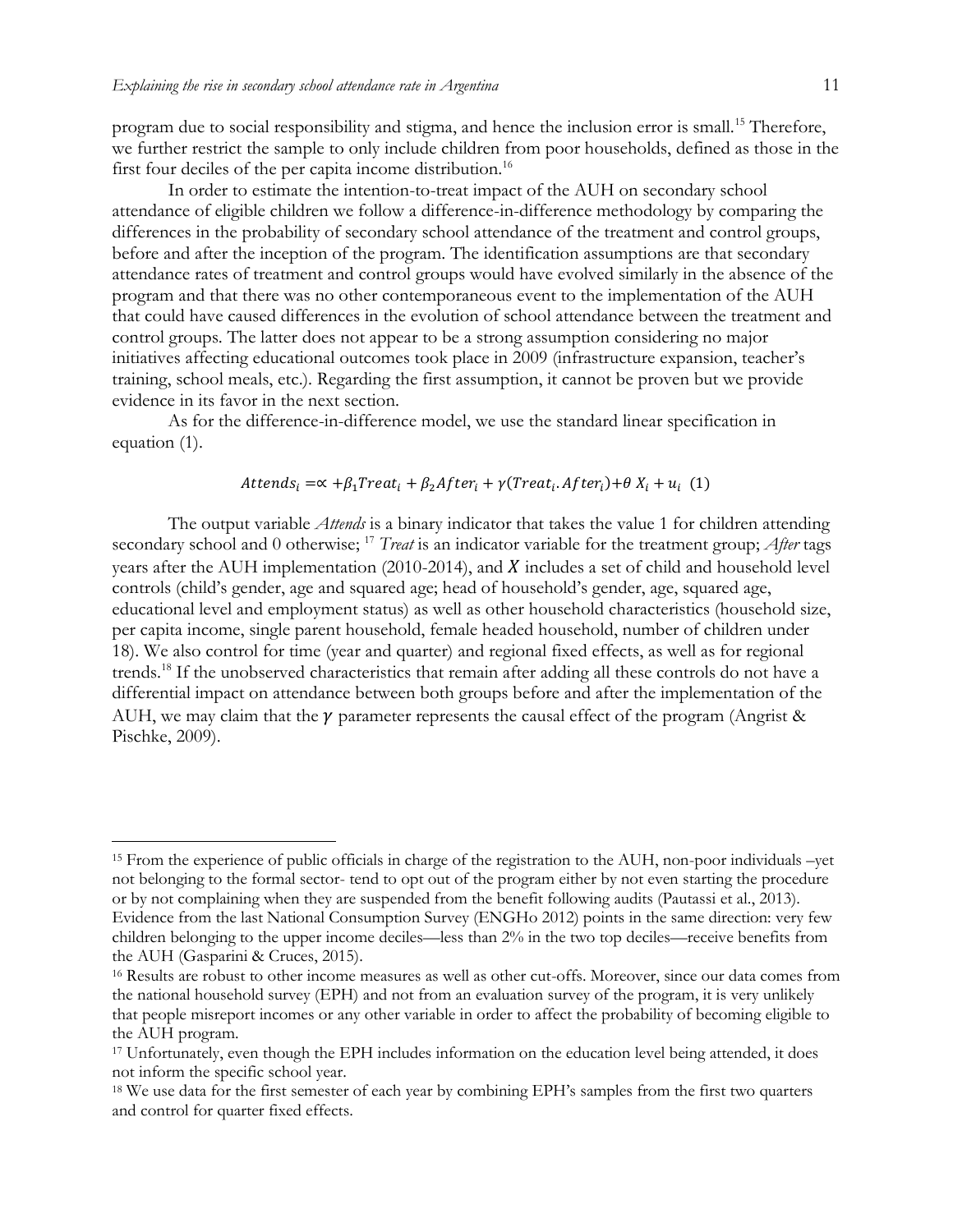$\overline{a}$ 

program due to social responsibility and stigma, and hence the inclusion error is small.<sup>15</sup> Therefore, we further restrict the sample to only include children from poor households, defined as those in the first four deciles of the per capita income distribution.<sup>16</sup>

In order to estimate the intention-to-treat impact of the AUH on secondary school attendance of eligible children we follow a difference-in-difference methodology by comparing the differences in the probability of secondary school attendance of the treatment and control groups, before and after the inception of the program. The identification assumptions are that secondary attendance rates of treatment and control groups would have evolved similarly in the absence of the program and that there was no other contemporaneous event to the implementation of the AUH that could have caused differences in the evolution of school attendance between the treatment and control groups. The latter does not appear to be a strong assumption considering no major initiatives affecting educational outcomes took place in 2009 (infrastructure expansion, teacher's training, school meals, etc.). Regarding the first assumption, it cannot be proven but we provide evidence in its favor in the next section.

As for the difference-in-difference model, we use the standard linear specification in equation (1).

#### $Attends_i = \alpha + \beta_1 Treat_i + \beta_2 After_i + \gamma (Treat_i \cdot After_i) + \theta X_i + u_i$  (1)

The output variable *Attends* is a binary indicator that takes the value 1 for children attending secondary school and 0 otherwise; <sup>17</sup> *Treat* is an indicator variable for the treatment group; *After* tags years after the AUH implementation (2010-2014), and  $X$  includes a set of child and household level controls (child's gender, age and squared age; head of household's gender, age, squared age, educational level and employment status) as well as other household characteristics (household size, per capita income, single parent household, female headed household, number of children under 18). We also control for time (year and quarter) and regional fixed effects, as well as for regional trends.<sup>18</sup> If the unobserved characteristics that remain after adding all these controls do not have a differential impact on attendance between both groups before and after the implementation of the AUH, we may claim that the  $\gamma$  parameter represents the causal effect of the program (Angrist & Pischke, 2009).

<sup>15</sup> From the experience of public officials in charge of the registration to the AUH, non-poor individuals –yet not belonging to the formal sector- tend to opt out of the program either by not even starting the procedure or by not complaining when they are suspended from the benefit following audits (Pautassi et al., 2013). Evidence from the last National Consumption Survey (ENGHo 2012) points in the same direction: very few children belonging to the upper income deciles—less than 2% in the two top deciles—receive benefits from the AUH (Gasparini & Cruces, 2015).

<sup>16</sup> Results are robust to other income measures as well as other cut-offs. Moreover, since our data comes from the national household survey (EPH) and not from an evaluation survey of the program, it is very unlikely that people misreport incomes or any other variable in order to affect the probability of becoming eligible to the AUH program.

<sup>&</sup>lt;sup>17</sup> Unfortunately, even though the EPH includes information on the education level being attended, it does not inform the specific school year.

<sup>&</sup>lt;sup>18</sup> We use data for the first semester of each year by combining EPH's samples from the first two quarters and control for quarter fixed effects.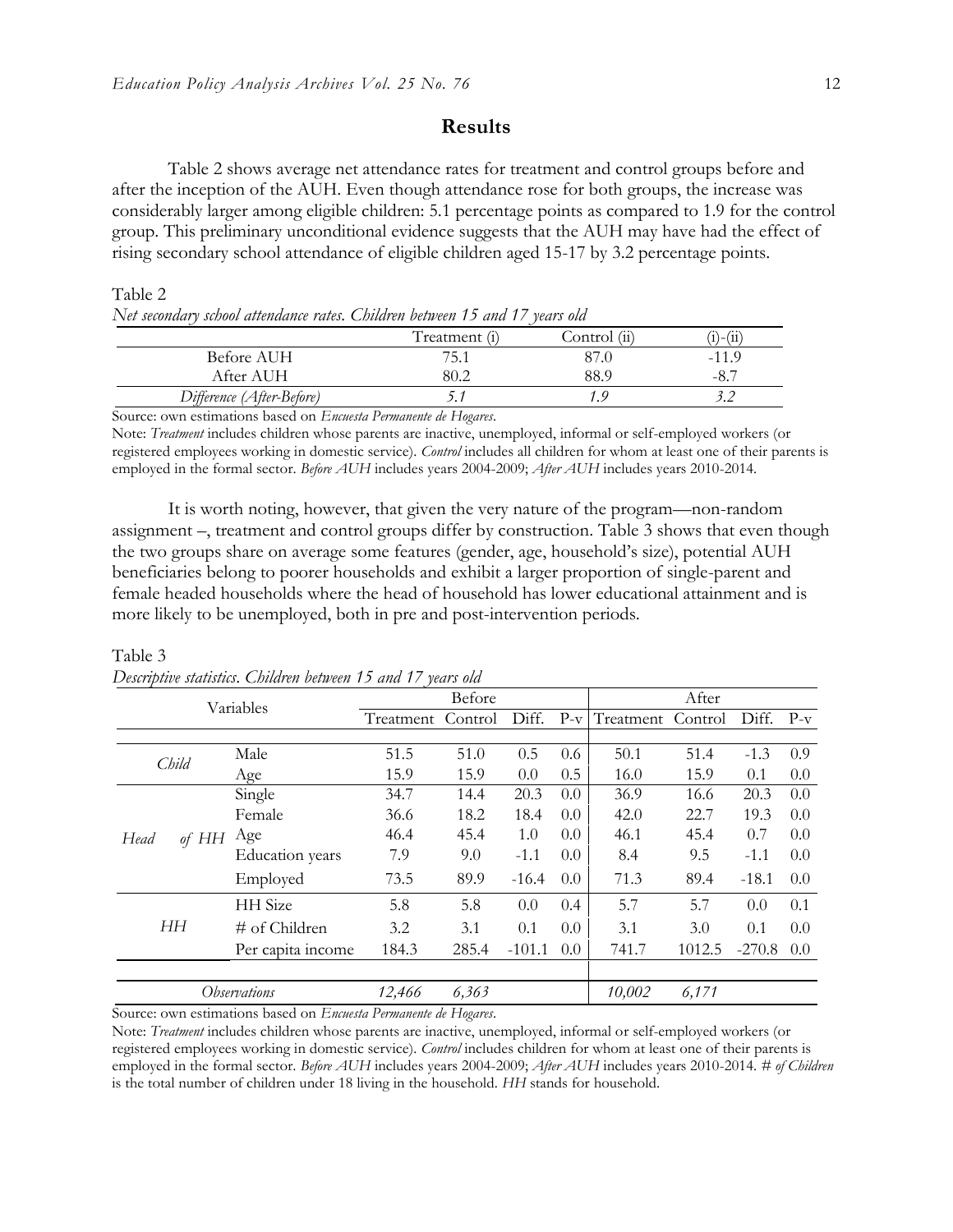### **Results**

Table 2 shows average net attendance rates for treatment and control groups before and after the inception of the AUH. Even though attendance rose for both groups, the increase was considerably larger among eligible children: 5.1 percentage points as compared to 1.9 for the control group. This preliminary unconditional evidence suggests that the AUH may have had the effect of rising secondary school attendance of eligible children aged 15-17 by 3.2 percentage points.

#### Table 2

|  | Net secondary school attendance rates. Children between 15 and 17 years old |  |  |  |  |
|--|-----------------------------------------------------------------------------|--|--|--|--|
|  |                                                                             |  |  |  |  |

|                           | Treatment (i) | Control (ii) | .)-(11) |
|---------------------------|---------------|--------------|---------|
| Before AUH                | 75.1          | 37.0         | -11.9   |
| After AUH                 | 80.2          | 88.9         | -8.     |
| Difference (After-Before) |               |              |         |

Source: own estimations based on *Encuesta Permanente de Hogares*.

Note: *Treatment* includes children whose parents are inactive, unemployed, informal or self-employed workers (or registered employees working in domestic service). *Control* includes all children for whom at least one of their parents is employed in the formal sector. *Before AUH* includes years 2004-2009; *After AUH* includes years 2010-2014.

It is worth noting, however, that given the very nature of the program—non-random assignment –, treatment and control groups differ by construction. Table 3 shows that even though the two groups share on average some features (gender, age, household's size), potential AUH beneficiaries belong to poorer households and exhibit a larger proportion of single-parent and female headed households where the head of household has lower educational attainment and is more likely to be unemployed, both in pre and post-intervention periods.

| Variables     |                        | Before            |       |          |     | After                 |        |          |       |
|---------------|------------------------|-------------------|-------|----------|-----|-----------------------|--------|----------|-------|
|               |                        | Treatment Control |       | Diff.    |     | P-v Treatment Control |        | Diff.    | $P-v$ |
|               |                        |                   |       |          |     |                       |        |          |       |
| Child         | Male                   | 51.5              | 51.0  | 0.5      | 0.6 | 50.1                  | 51.4   | $-1.3$   | 0.9   |
|               | Age                    | 15.9              | 15.9  | 0.0      | 0.5 | 16.0                  | 15.9   | 0.1      | 0.0   |
|               | Single                 | 34.7              | 14.4  | 20.3     | 0.0 | 36.9                  | 16.6   | 20.3     | 0.0   |
|               | Female                 | 36.6              | 18.2  | 18.4     | 0.0 | 42.0                  | 22.7   | 19.3     | 0.0   |
| of HH<br>Head | Age                    | 46.4              | 45.4  | 1.0      | 0.0 | 46.1                  | 45.4   | 0.7      | 0.0   |
|               | <b>Education</b> years | 7.9               | 9.0   | $-1.1$   | 0.0 | 8.4                   | 9.5    | $-1.1$   | 0.0   |
|               | Employed               | 73.5              | 89.9  | $-16.4$  | 0.0 | 71.3                  | 89.4   | $-18.1$  | 0.0   |
|               | HH Size                | 5.8               | 5.8   | 0.0      | 0.4 | 5.7                   | 5.7    | 0.0      | 0.1   |
| HН            | # of Children          | 3.2               | 3.1   | 0.1      | 0.0 | 3.1                   | 3.0    | 0.1      | 0.0   |
|               | Per capita income      | 184.3             | 285.4 | $-101.1$ | 0.0 | 741.7                 | 1012.5 | $-270.8$ | 0.0   |
|               | <i>Observations</i>    | 12,466            | 6,363 |          |     | 10,002                | 6,171  |          |       |

#### Table 3 *Descriptive statistics*. *Children between 15 and 17 years old*

Source: own estimations based on *Encuesta Permanente de Hogares*.

Note: *Treatment* includes children whose parents are inactive, unemployed, informal or self-employed workers (or registered employees working in domestic service). *Control* includes children for whom at least one of their parents is employed in the formal sector. *Before AUH* includes years 2004-2009; *After AUH* includes years 2010-2014. *# of Children*  is the total number of children under 18 living in the household. *HH* stands for household.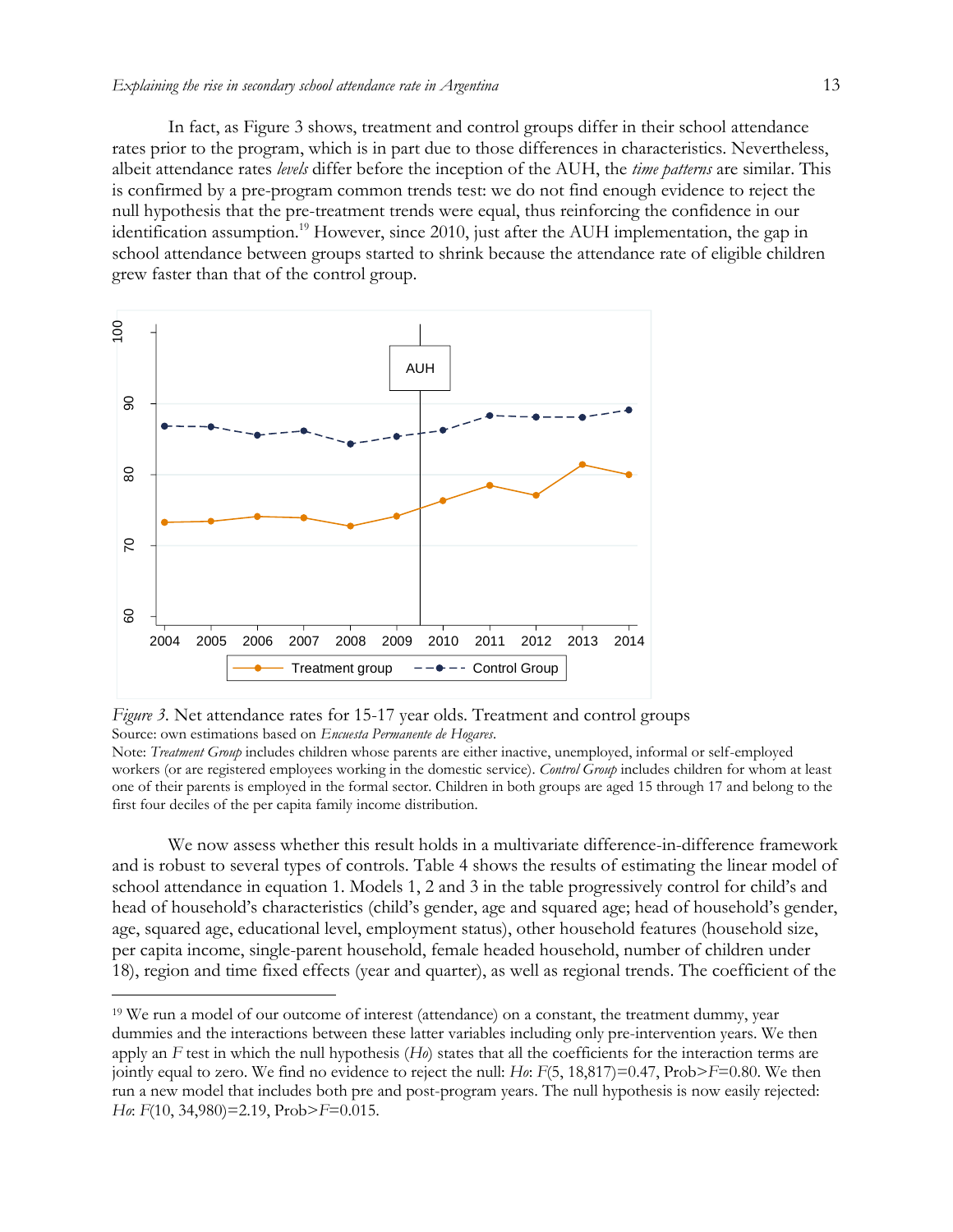In fact, as Figure 3 shows, treatment and control groups differ in their school attendance rates prior to the program, which is in part due to those differences in characteristics. Nevertheless, albeit attendance rates *levels* differ before the inception of the AUH, the *time patterns* are similar. This is confirmed by a pre-program common trends test: we do not find enough evidence to reject the null hypothesis that the pre-treatment trends were equal, thus reinforcing the confidence in our identification assumption.<sup>19</sup> However, since 2010, just after the AUH implementation, the gap in school attendance between groups started to shrink because the attendance rate of eligible children grew faster than that of the control group.





 $\overline{a}$ 

Note: *Treatment Group* includes children whose parents are either inactive, unemployed, informal or self-employed workers (or are registered employees working in the domestic service). *Control Group* includes children for whom at least one of their parents is employed in the formal sector. Children in both groups are aged 15 through 17 and belong to the first four deciles of the per capita family income distribution.

We now assess whether this result holds in a multivariate difference-in-difference framework and is robust to several types of controls. Table 4 shows the results of estimating the linear model of school attendance in equation 1. Models 1, 2 and 3 in the table progressively control for child's and head of household's characteristics (child's gender, age and squared age; head of household's gender, age, squared age, educational level, employment status), other household features (household size, per capita income, single-parent household, female headed household, number of children under 18), region and time fixed effects (year and quarter), as well as regional trends. The coefficient of the

<sup>19</sup> We run a model of our outcome of interest (attendance) on a constant, the treatment dummy, year dummies and the interactions between these latter variables including only pre-intervention years. We then apply an *F* test in which the null hypothesis (*Ho*) states that all the coefficients for the interaction terms are jointly equal to zero. We find no evidence to reject the null: *Ho*: *F*(5, 18,817)=0.47, Prob>*F*=0.80. We then run a new model that includes both pre and post-program years. The null hypothesis is now easily rejected: *Ho*: *F*(10, 34,980)=2.19, Prob>*F*=0.015.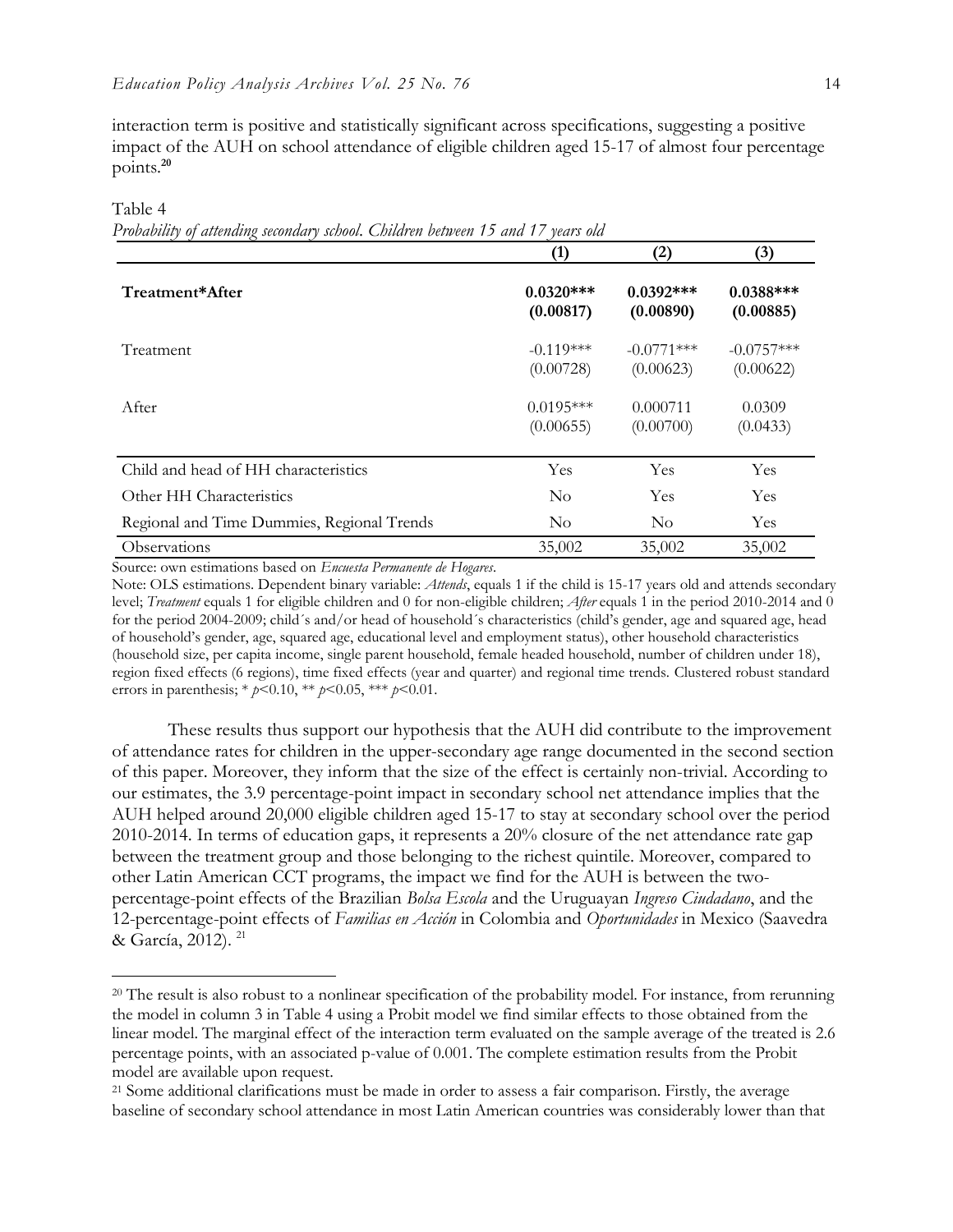interaction term is positive and statistically significant across specifications, suggesting a positive impact of the AUH on school attendance of eligible children aged 15-17 of almost four percentage points.**<sup>20</sup>**

Table 4

 $\overline{a}$ 

|  |  | Probability of attending secondary school. Children between 15 and 17 years old |  |
|--|--|---------------------------------------------------------------------------------|--|
|  |  |                                                                                 |  |

|                                            | (1)                      | (2)                       | (3)                       |
|--------------------------------------------|--------------------------|---------------------------|---------------------------|
| Treatment*After                            | $0.0320***$<br>(0.00817) | $0.0392$ ***<br>(0.00890) | $0.0388***$<br>(0.00885)  |
| Treatment                                  | $-0.119***$<br>(0.00728) | $-0.0771***$<br>(0.00623) | $-0.0757***$<br>(0.00622) |
| After                                      | $0.0195***$<br>(0.00655) | 0.000711<br>(0.00700)     | 0.0309<br>(0.0433)        |
| Child and head of HH characteristics       | Yes                      | <b>Yes</b>                | Yes                       |
| Other HH Characteristics                   | $\rm No$                 | Yes                       | Yes                       |
| Regional and Time Dummies, Regional Trends | N <sub>o</sub>           | $\rm No$                  | Yes                       |
| Observations                               | 35,002                   | 35,002                    | 35,002                    |

Source: own estimations based on *Encuesta Permanente de Hogares*.

Note: OLS estimations. Dependent binary variable: *Attends*, equals 1 if the child is 15-17 years old and attends secondary level; *Treatment* equals 1 for eligible children and 0 for non-eligible children; *After* equals 1 in the period 2010-2014 and 0 for the period 2004-2009; child's and/or head of household's characteristics (child's gender, age and squared age, head of household's gender, age, squared age, educational level and employment status), other household characteristics (household size, per capita income, single parent household, female headed household, number of children under 18), region fixed effects (6 regions), time fixed effects (year and quarter) and regional time trends. Clustered robust standard errors in parenthesis; \* *p*<0.10, \*\* *p*<0.05, \*\*\* *p*<0.01.

These results thus support our hypothesis that the AUH did contribute to the improvement of attendance rates for children in the upper-secondary age range documented in the second section of this paper. Moreover, they inform that the size of the effect is certainly non-trivial. According to our estimates, the 3.9 percentage-point impact in secondary school net attendance implies that the AUH helped around 20,000 eligible children aged 15-17 to stay at secondary school over the period 2010-2014. In terms of education gaps, it represents a 20% closure of the net attendance rate gap between the treatment group and those belonging to the richest quintile. Moreover, compared to other Latin American CCT programs, the impact we find for the AUH is between the twopercentage-point effects of the Brazilian *Bolsa Escola* and the Uruguayan *Ingreso Ciudadano*, and the 12-percentage-point effects of *Familias en Acción* in Colombia and *Oportunidades* in Mexico (Saavedra & García, 2012). <sup>21</sup>

<sup>&</sup>lt;sup>20</sup> The result is also robust to a nonlinear specification of the probability model. For instance, from rerunning the model in column 3 in Table 4 using a Probit model we find similar effects to those obtained from the linear model. The marginal effect of the interaction term evaluated on the sample average of the treated is 2.6 percentage points, with an associated p-value of 0.001. The complete estimation results from the Probit model are available upon request.

<sup>&</sup>lt;sup>21</sup> Some additional clarifications must be made in order to assess a fair comparison. Firstly, the average baseline of secondary school attendance in most Latin American countries was considerably lower than that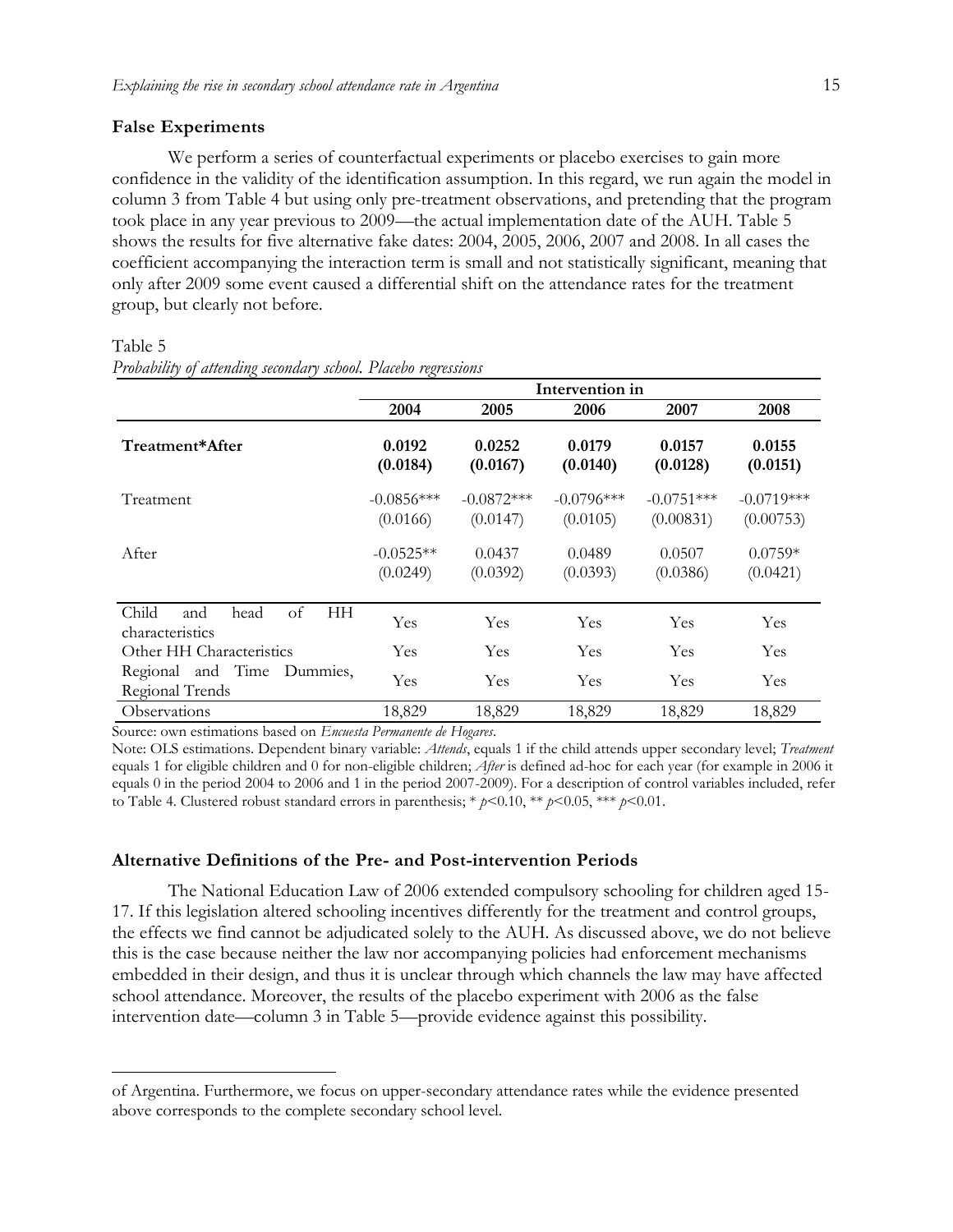#### **False Experiments**

We perform a series of counterfactual experiments or placebo exercises to gain more confidence in the validity of the identification assumption. In this regard, we run again the model in column 3 from Table 4 but using only pre-treatment observations, and pretending that the program took place in any year previous to 2009—the actual implementation date of the AUH. Table 5 shows the results for five alternative fake dates: 2004, 2005, 2006, 2007 and 2008. In all cases the coefficient accompanying the interaction term is small and not statistically significant, meaning that only after 2009 some event caused a differential shift on the attendance rates for the treatment group, but clearly not before.

|                                                     | Intervention in          |                          |                          |                           |                           |
|-----------------------------------------------------|--------------------------|--------------------------|--------------------------|---------------------------|---------------------------|
|                                                     | 2004                     | 2005                     | 2006                     | 2007                      | 2008                      |
| Treatment*After                                     | 0.0192<br>(0.0184)       | 0.0252<br>(0.0167)       | 0.0179<br>(0.0140)       | 0.0157<br>(0.0128)        | 0.0155<br>(0.0151)        |
| Treatment                                           | $-0.0856***$<br>(0.0166) | $-0.0872***$<br>(0.0147) | $-0.0796***$<br>(0.0105) | $-0.0751***$<br>(0.00831) | $-0.0719***$<br>(0.00753) |
| After                                               | $-0.0525**$<br>(0.0249)  | 0.0437<br>(0.0392)       | 0.0489<br>(0.0393)       | 0.0507<br>(0.0386)        | $0.0759*$<br>(0.0421)     |
| Child<br>of<br>HН<br>head<br>and<br>characteristics | Yes                      | Yes                      | Yes                      | Yes                       | Yes                       |
| Other HH Characteristics                            | Yes                      | Yes                      | Yes                      | Yes                       | Yes                       |
| Regional and Time Dummies,<br>Regional Trends       | Yes                      | Yes                      | Yes                      | Yes                       | Yes                       |
| Observations                                        | 18,829                   | 18,829                   | 18,829                   | 18,829                    | 18,829                    |

#### Table 5

 $\overline{a}$ 

|  | Probability of attending secondary school. Placebo regressions |  |
|--|----------------------------------------------------------------|--|
|  |                                                                |  |

Source: own estimations based on *Encuesta Permanente de Hogares*.

Note: OLS estimations. Dependent binary variable: *Attends*, equals 1 if the child attends upper secondary level; *Treatment* equals 1 for eligible children and 0 for non-eligible children; *After* is defined ad-hoc for each year (for example in 2006 it equals 0 in the period 2004 to 2006 and 1 in the period 2007-2009). For a description of control variables included, refer to Table 4. Clustered robust standard errors in parenthesis; \* *p*<0.10, \*\* *p*<0.05, \*\*\* *p*<0.01.

#### **Alternative Definitions of the Pre- and Post-intervention Periods**

The National Education Law of 2006 extended compulsory schooling for children aged 15- 17. If this legislation altered schooling incentives differently for the treatment and control groups, the effects we find cannot be adjudicated solely to the AUH. As discussed above, we do not believe this is the case because neither the law nor accompanying policies had enforcement mechanisms embedded in their design, and thus it is unclear through which channels the law may have affected school attendance. Moreover, the results of the placebo experiment with 2006 as the false intervention date—column 3 in Table 5—provide evidence against this possibility.

of Argentina. Furthermore, we focus on upper-secondary attendance rates while the evidence presented above corresponds to the complete secondary school level.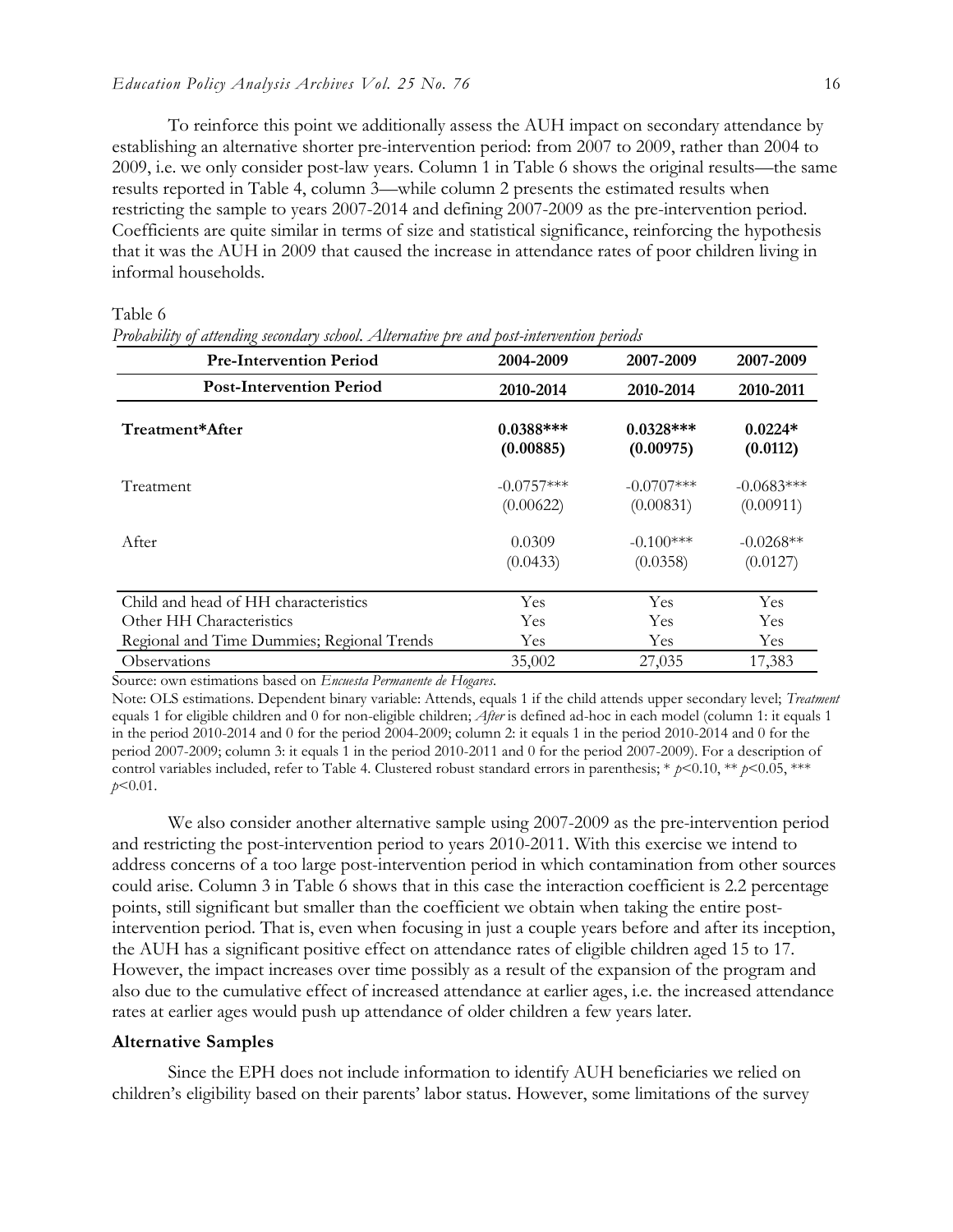To reinforce this point we additionally assess the AUH impact on secondary attendance by establishing an alternative shorter pre-intervention period: from 2007 to 2009, rather than 2004 to 2009, i.e. we only consider post-law years. Column 1 in Table 6 shows the original results—the same results reported in Table 4, column 3—while column 2 presents the estimated results when restricting the sample to years 2007-2014 and defining 2007-2009 as the pre-intervention period. Coefficients are quite similar in terms of size and statistical significance, reinforcing the hypothesis that it was the AUH in 2009 that caused the increase in attendance rates of poor children living in informal households.

Table 6

**Pre-Intervention Period 2004-2009 2007-2009 2007-2009 Post-Intervention Period 2010-2014 2010-2014 2010-2011 Treatment\*After 0.0388\*\*\* 0.0328\*\*\* 0.0224\* (0.00885) (0.00975) (0.0112)** Treatment  $-0.0757***$   $-0.0707***$   $-0.0683***$  $(0.00622)$   $(0.00831)$   $(0.00911)$ After  $0.0309$   $-0.100***$   $-0.0268**$  $(0.0433)$   $(0.0358)$   $(0.0127)$ Child and head of HH characteristics Yes Yes Yes Other HH Characteristics Tes Yes Yes Yes Yes Yes Regional and Time Dummies; Regional Trends Yes Yes Yes Observations 35,002 27,035 17,383

*Probability of attending secondary school*. *Alternative pre and post-intervention periods*

Source: own estimations based on *Encuesta Permanente de Hogares*.

Note: OLS estimations. Dependent binary variable: Attends, equals 1 if the child attends upper secondary level; *Treatment* equals 1 for eligible children and 0 for non-eligible children; *After* is defined ad-hoc in each model (column 1: it equals 1 in the period 2010-2014 and 0 for the period 2004-2009; column 2: it equals 1 in the period 2010-2014 and 0 for the period 2007-2009; column 3: it equals 1 in the period 2010-2011 and 0 for the period 2007-2009). For a description of control variables included, refer to Table 4. Clustered robust standard errors in parenthesis; \*  $p$ <0.10, \*\*  $p$ <0.05, \*\*\* *p*<0.01.

We also consider another alternative sample using 2007-2009 as the pre-intervention period and restricting the post-intervention period to years 2010-2011. With this exercise we intend to address concerns of a too large post-intervention period in which contamination from other sources could arise. Column 3 in Table 6 shows that in this case the interaction coefficient is 2.2 percentage points, still significant but smaller than the coefficient we obtain when taking the entire postintervention period. That is, even when focusing in just a couple years before and after its inception, the AUH has a significant positive effect on attendance rates of eligible children aged 15 to 17. However, the impact increases over time possibly as a result of the expansion of the program and also due to the cumulative effect of increased attendance at earlier ages, i.e. the increased attendance rates at earlier ages would push up attendance of older children a few years later.

#### **Alternative Samples**

Since the EPH does not include information to identify AUH beneficiaries we relied on children's eligibility based on their parents' labor status. However, some limitations of the survey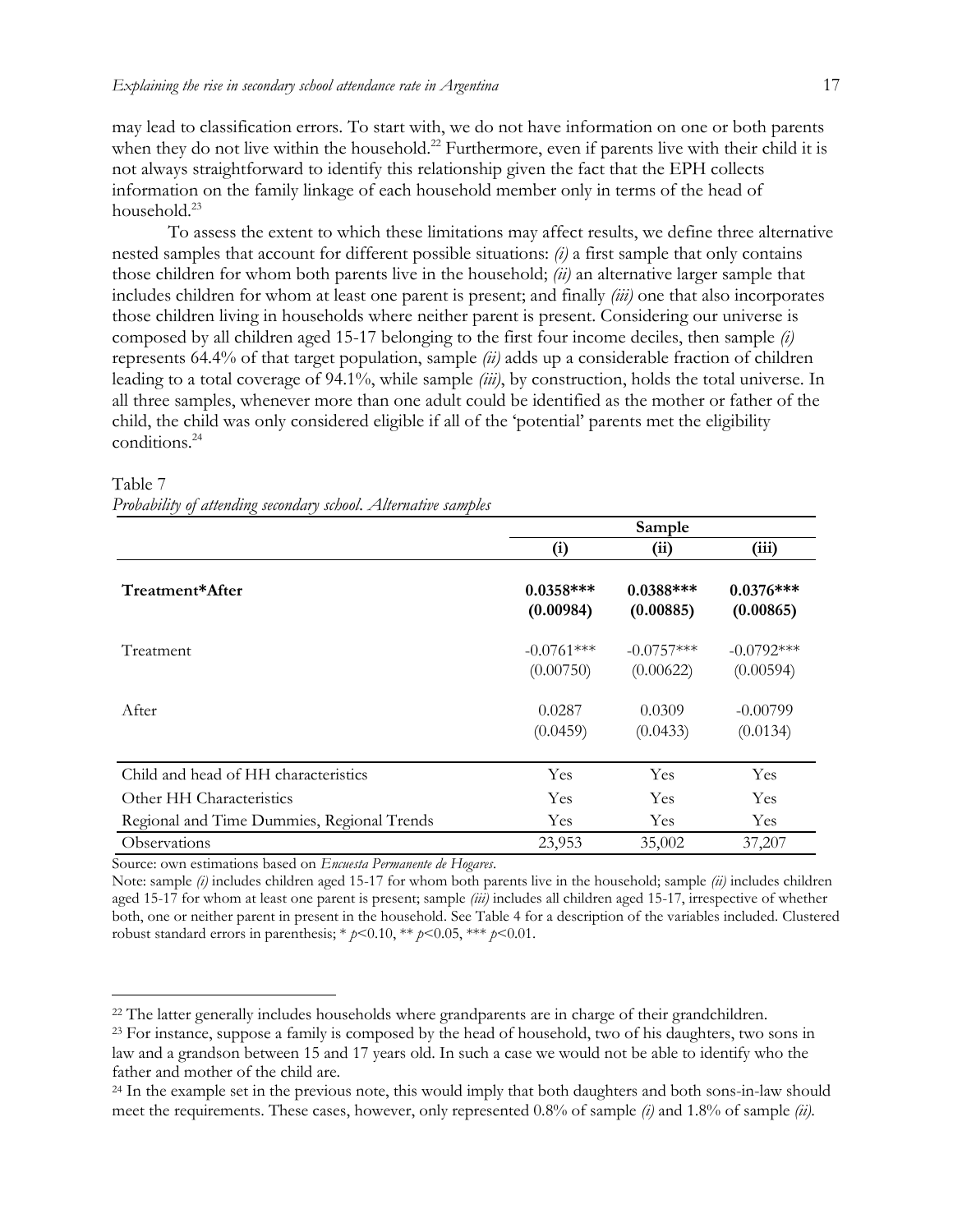may lead to classification errors. To start with, we do not have information on one or both parents when they do not live within the household.<sup>22</sup> Furthermore, even if parents live with their child it is not always straightforward to identify this relationship given the fact that the EPH collects information on the family linkage of each household member only in terms of the head of household.<sup>23</sup>

To assess the extent to which these limitations may affect results, we define three alternative nested samples that account for different possible situations: *(i)* a first sample that only contains those children for whom both parents live in the household; *(ii)* an alternative larger sample that includes children for whom at least one parent is present; and finally *(iii)* one that also incorporates those children living in households where neither parent is present. Considering our universe is composed by all children aged 15-17 belonging to the first four income deciles, then sample *(i)* represents 64.4% of that target population, sample *(ii)* adds up a considerable fraction of children leading to a total coverage of 94.1%, while sample *(iii)*, by construction, holds the total universe. In all three samples, whenever more than one adult could be identified as the mother or father of the child, the child was only considered eligible if all of the 'potential' parents met the eligibility conditions.<sup>24</sup>

|                                            | Sample                    |                           |                           |  |  |
|--------------------------------------------|---------------------------|---------------------------|---------------------------|--|--|
|                                            | (i)                       | (i)                       | (iii)                     |  |  |
| Treatment*After                            | $0.0358***$<br>(0.00984)  | $0.0388***$<br>(0.00885)  | $0.0376***$<br>(0.00865)  |  |  |
| Treatment                                  | $-0.0761***$<br>(0.00750) | $-0.0757***$<br>(0.00622) | $-0.0792***$<br>(0.00594) |  |  |
| After                                      | 0.0287<br>(0.0459)        | 0.0309<br>(0.0433)        | $-0.00799$<br>(0.0134)    |  |  |
| Child and head of HH characteristics       | Yes                       | Yes                       | Yes                       |  |  |
| Other HH Characteristics                   | Yes                       | Yes                       | Yes                       |  |  |
| Regional and Time Dummies, Regional Trends | Yes                       | <b>Yes</b>                | Yes                       |  |  |
| Observations                               | 23,953                    | 35,002                    | 37,207                    |  |  |

#### Table 7 *Probability of attending secondary school*. *Alternative samples*

Source: own estimations based on *Encuesta Permanente de Hogares*.

 $\overline{a}$ 

Note: sample *(i)* includes children aged 15-17 for whom both parents live in the household; sample *(ii)* includes children aged 15-17 for whom at least one parent is present; sample *(iii)* includes all children aged 15-17, irrespective of whether both, one or neither parent in present in the household*.* See Table 4 for a description of the variables included. Clustered robust standard errors in parenthesis; \*  $p$ <0.10, \*\*  $p$ <0.05, \*\*\*  $p$ <0.01.

<sup>&</sup>lt;sup>22</sup> The latter generally includes households where grandparents are in charge of their grandchildren.

<sup>&</sup>lt;sup>23</sup> For instance, suppose a family is composed by the head of household, two of his daughters, two sons in law and a grandson between 15 and 17 years old. In such a case we would not be able to identify who the father and mother of the child are.

<sup>&</sup>lt;sup>24</sup> In the example set in the previous note, this would imply that both daughters and both sons-in-law should meet the requirements. These cases, however, only represented 0.8% of sample *(i)* and 1.8% of sample *(ii)*.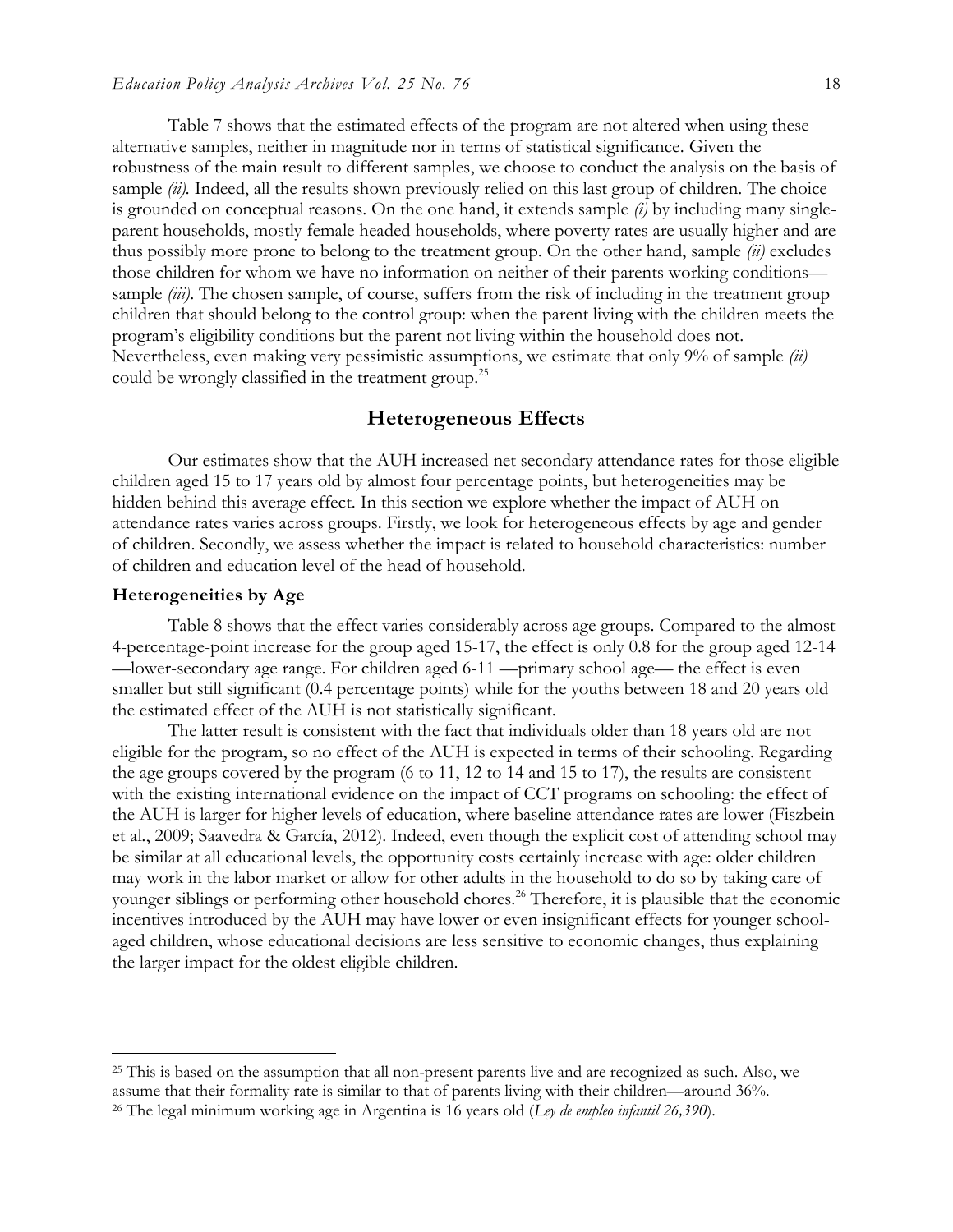Table 7 shows that the estimated effects of the program are not altered when using these alternative samples, neither in magnitude nor in terms of statistical significance. Given the robustness of the main result to different samples, we choose to conduct the analysis on the basis of sample *(ii)*. Indeed, all the results shown previously relied on this last group of children. The choice is grounded on conceptual reasons. On the one hand, it extends sample *(i)* by including many singleparent households, mostly female headed households, where poverty rates are usually higher and are thus possibly more prone to belong to the treatment group. On the other hand, sample *(ii)* excludes those children for whom we have no information on neither of their parents working conditions sample *(iii)*. The chosen sample, of course, suffers from the risk of including in the treatment group children that should belong to the control group: when the parent living with the children meets the program's eligibility conditions but the parent not living within the household does not. Nevertheless, even making very pessimistic assumptions, we estimate that only 9% of sample *(ii)* could be wrongly classified in the treatment group.<sup>25</sup>

#### **Heterogeneous Effects**

Our estimates show that the AUH increased net secondary attendance rates for those eligible children aged 15 to 17 years old by almost four percentage points, but heterogeneities may be hidden behind this average effect. In this section we explore whether the impact of AUH on attendance rates varies across groups. Firstly, we look for heterogeneous effects by age and gender of children. Secondly, we assess whether the impact is related to household characteristics: number of children and education level of the head of household.

#### **Heterogeneities by Age**

 $\overline{a}$ 

Table 8 shows that the effect varies considerably across age groups. Compared to the almost 4-percentage-point increase for the group aged 15-17, the effect is only 0.8 for the group aged 12-14 —lower-secondary age range. For children aged 6-11 —primary school age— the effect is even smaller but still significant (0.4 percentage points) while for the youths between 18 and 20 years old the estimated effect of the AUH is not statistically significant.

The latter result is consistent with the fact that individuals older than 18 years old are not eligible for the program, so no effect of the AUH is expected in terms of their schooling. Regarding the age groups covered by the program (6 to 11, 12 to 14 and 15 to 17), the results are consistent with the existing international evidence on the impact of CCT programs on schooling: the effect of the AUH is larger for higher levels of education, where baseline attendance rates are lower (Fiszbein et al*.*, 2009; Saavedra & García, 2012). Indeed, even though the explicit cost of attending school may be similar at all educational levels, the opportunity costs certainly increase with age: older children may work in the labor market or allow for other adults in the household to do so by taking care of younger siblings or performing other household chores.<sup>26</sup> Therefore, it is plausible that the economic incentives introduced by the AUH may have lower or even insignificant effects for younger schoolaged children, whose educational decisions are less sensitive to economic changes, thus explaining the larger impact for the oldest eligible children.

<sup>&</sup>lt;sup>25</sup> This is based on the assumption that all non-present parents live and are recognized as such. Also, we assume that their formality rate is similar to that of parents living with their children—around 36%. <sup>26</sup> The legal minimum working age in Argentina is 16 years old (*Ley de empleo infantil 26,390*).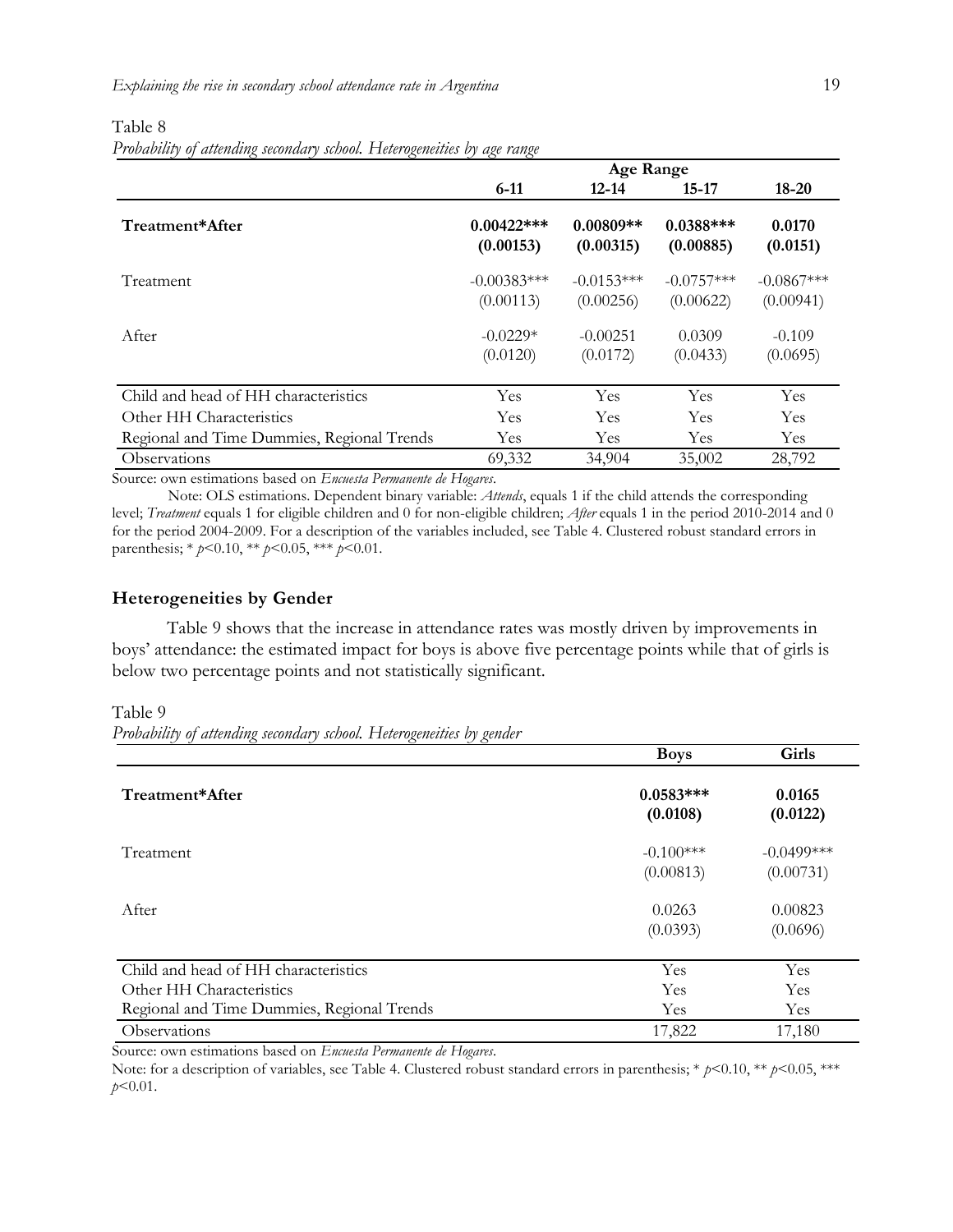#### Table 8

*Probability of attending secondary school. Heterogeneities by age range*

|                                            | <b>Age Range</b>           |                          |                          |                    |  |
|--------------------------------------------|----------------------------|--------------------------|--------------------------|--------------------|--|
|                                            | $6-11$                     | $12 - 14$                | $15 - 17$                | $18 - 20$          |  |
| Treatment*After                            | $0.00422$ ***<br>(0.00153) | $0.00809**$<br>(0.00315) | $0.0388***$<br>(0.00885) | 0.0170<br>(0.0151) |  |
| Treatment                                  | $-0.00383***$              | $-0.0153***$             | $-0.0757***$             | $-0.0867***$       |  |
|                                            | (0.00113)                  | (0.00256)                | (0.00622)                | (0.00941)          |  |
| After                                      | $-0.0229*$                 | $-0.00251$               | 0.0309                   | $-0.109$           |  |
|                                            | (0.0120)                   | (0.0172)                 | (0.0433)                 | (0.0695)           |  |
| Child and head of HH characteristics       | Yes                        | Yes                      | Yes                      | Yes                |  |
| Other HH Characteristics                   | Yes                        | <b>Yes</b>               | <b>Yes</b>               | Yes                |  |
| Regional and Time Dummies, Regional Trends | Yes                        | Yes                      | Yes                      | Yes                |  |
| Observations                               | 69,332                     | 34,904                   | 35,002                   | 28,792             |  |

Source: own estimations based on *Encuesta Permanente de Hogares*.

Note: OLS estimations. Dependent binary variable: *Attends*, equals 1 if the child attends the corresponding level; *Treatment* equals 1 for eligible children and 0 for non-eligible children; *After* equals 1 in the period 2010-2014 and 0 for the period 2004-2009. For a description of the variables included, see Table 4. Clustered robust standard errors in parenthesis; \* *p*<0.10, \*\* *p*<0.05, \*\*\* *p*<0.01.

#### **Heterogeneities by Gender**

Table 9 shows that the increase in attendance rates was mostly driven by improvements in boys' attendance: the estimated impact for boys is above five percentage points while that of girls is below two percentage points and not statistically significant.

Table 9

*Probability of attending secondary school. Heterogeneities by gender*

|                                            | <b>Boys</b>             | Girls              |
|--------------------------------------------|-------------------------|--------------------|
| Treatment*After                            | $0.0583***$<br>(0.0108) | 0.0165<br>(0.0122) |
| Treatment                                  | $-0.100***$             | $-0.0499$ ***      |
|                                            | (0.00813)               | (0.00731)          |
| After                                      | 0.0263                  | 0.00823            |
|                                            | (0.0393)                | (0.0696)           |
| Child and head of HH characteristics       | Yes                     | Yes                |
| Other HH Characteristics                   | Yes                     | Yes                |
| Regional and Time Dummies, Regional Trends | Yes                     | Yes                |
| <b>Observations</b>                        | 17,822                  | 17,180             |

Source: own estimations based on *Encuesta Permanente de Hogares*.

Note: for a description of variables, see Table 4. Clustered robust standard errors in parenthesis; \* *p*<0.10, \*\* *p*<0.05, \*\*\* *p*<0.01.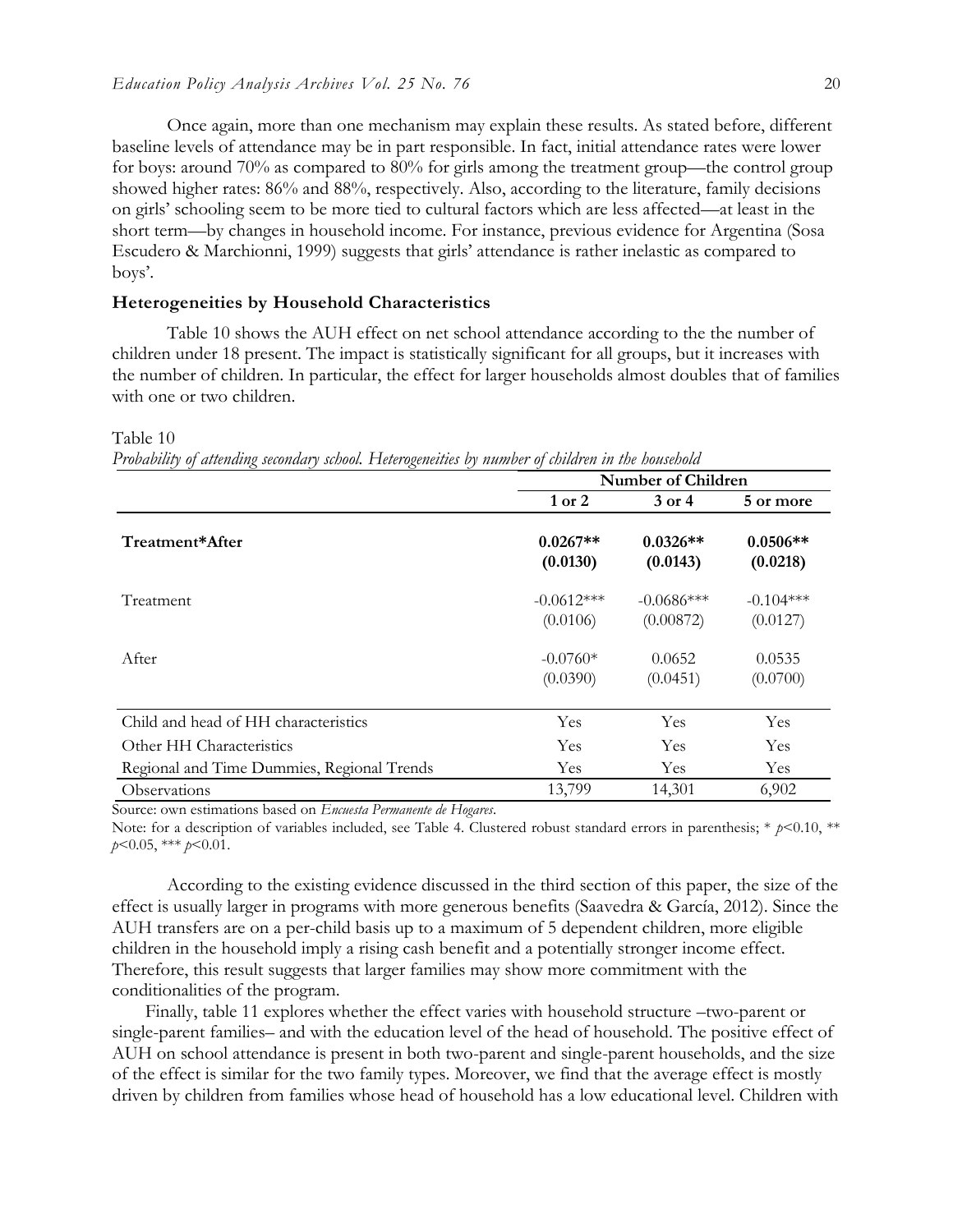Once again, more than one mechanism may explain these results. As stated before, different baseline levels of attendance may be in part responsible. In fact, initial attendance rates were lower for boys: around 70% as compared to 80% for girls among the treatment group—the control group showed higher rates: 86% and 88%, respectively. Also, according to the literature, family decisions on girls' schooling seem to be more tied to cultural factors which are less affected—at least in the short term—by changes in household income. For instance, previous evidence for Argentina (Sosa Escudero & Marchionni, 1999) suggests that girls' attendance is rather inelastic as compared to boys'.

#### **Heterogeneities by Household Characteristics**

Table 10 shows the AUH effect on net school attendance according to the the number of children under 18 present. The impact is statistically significant for all groups, but it increases with the number of children. In particular, the effect for larger households almost doubles that of families with one or two children.

#### Table 10

*Probability of attending secondary school. Heterogeneities by number of children in the household*

|                                            | <b>Number of Children</b> |                           |                         |  |  |
|--------------------------------------------|---------------------------|---------------------------|-------------------------|--|--|
|                                            | $1$ or $2$                | $3$ or $4$                | 5 or more               |  |  |
| Treatment*After                            | $0.0267**$<br>(0.0130)    | $0.0326**$<br>(0.0143)    | $0.0506**$<br>(0.0218)  |  |  |
| Treatment                                  | $-0.0612***$<br>(0.0106)  | $-0.0686***$<br>(0.00872) | $-0.104***$<br>(0.0127) |  |  |
| After                                      | $-0.0760*$<br>(0.0390)    | 0.0652<br>(0.0451)        | 0.0535<br>(0.0700)      |  |  |
| Child and head of HH characteristics       | Yes                       | Yes                       | Yes                     |  |  |
| Other HH Characteristics                   | Yes                       | Yes                       | Yes                     |  |  |
| Regional and Time Dummies, Regional Trends | Yes                       | Yes                       | Yes                     |  |  |
| Observations                               | 13,799                    | 14,301                    | 6,902                   |  |  |

Source: own estimations based on *Encuesta Permanente de Hogares*.

Note: for a description of variables included, see Table 4. Clustered robust standard errors in parenthesis; \*  $p$ <0.10, \*\* *p*<0.05, \*\*\* *p*<0.01.

According to the existing evidence discussed in the third section of this paper, the size of the effect is usually larger in programs with more generous benefits (Saavedra & García, 2012). Since the AUH transfers are on a per-child basis up to a maximum of 5 dependent children, more eligible children in the household imply a rising cash benefit and a potentially stronger income effect. Therefore, this result suggests that larger families may show more commitment with the conditionalities of the program.

Finally, table 11 explores whether the effect varies with household structure –two-parent or single-parent families– and with the education level of the head of household. The positive effect of AUH on school attendance is present in both two-parent and single-parent households, and the size of the effect is similar for the two family types. Moreover, we find that the average effect is mostly driven by children from families whose head of household has a low educational level. Children with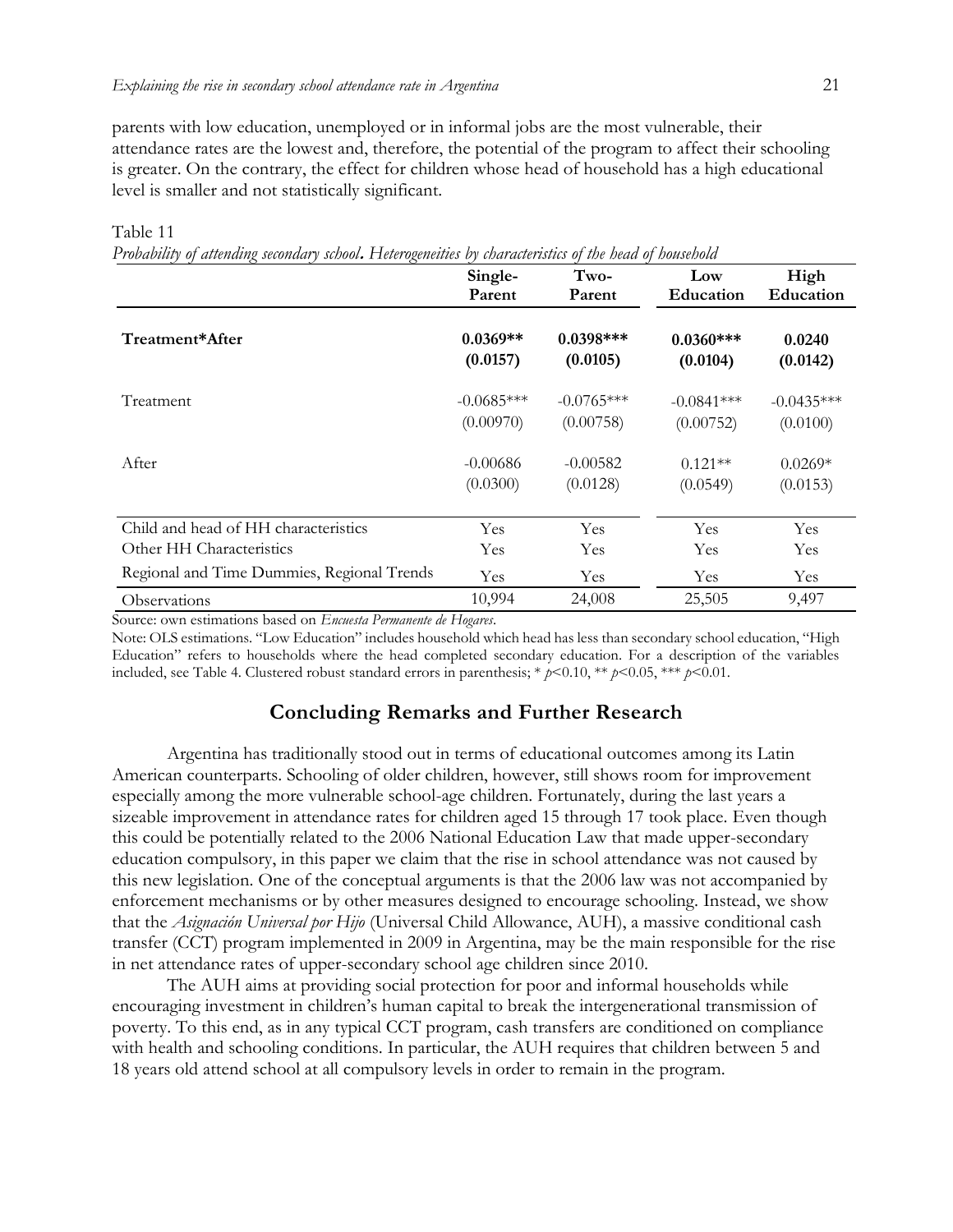parents with low education, unemployed or in informal jobs are the most vulnerable, their attendance rates are the lowest and, therefore, the potential of the program to affect their schooling is greater. On the contrary, the effect for children whose head of household has a high educational level is smaller and not statistically significant.

| The concern of annihing secondary sensorie I Islam of themes by ensurance of end nearly of nonsensorie | Single-      | Two-         | Low          | High         |
|--------------------------------------------------------------------------------------------------------|--------------|--------------|--------------|--------------|
|                                                                                                        | Parent       | Parent       | Education    | Education    |
| Treatment*After                                                                                        | $0.0369**$   | $0.0398***$  | $0.0360***$  | 0.0240       |
|                                                                                                        | (0.0157)     | (0.0105)     | (0.0104)     | (0.0142)     |
| Treatment                                                                                              | $-0.0685***$ | $-0.0765***$ | $-0.0841***$ | $-0.0435***$ |
|                                                                                                        | (0.00970)    | (0.00758)    | (0.00752)    | (0.0100)     |
| After                                                                                                  | $-0.00686$   | $-0.00582$   | $0.121**$    | $0.0269*$    |
|                                                                                                        | (0.0300)     | (0.0128)     | (0.0549)     | (0.0153)     |
| Child and head of HH characteristics                                                                   | Yes          | Yes          | Yes          | Yes          |
| Other HH Characteristics                                                                               | Yes          | Yes          | Yes          | Yes          |
| Regional and Time Dummies, Regional Trends                                                             | Yes          | Yes          | Yes          | Yes          |
| Observations                                                                                           | 10,994       | 24,008       | 25,505       | 9,497        |

Table 11

*Probability of attending secondary school***.** *Heterogeneities by characteristics of the head of household*

Source: own estimations based on *Encuesta Permanente de Hogares*.

Note: OLS estimations. "Low Education" includes household which head has less than secondary school education, "High Education" refers to households where the head completed secondary education. For a description of the variables included, see Table 4. Clustered robust standard errors in parenthesis; \* *p*<0.10, \*\* *p*<0.05, \*\*\* *p*<0.01.

# **Concluding Remarks and Further Research**

Argentina has traditionally stood out in terms of educational outcomes among its Latin American counterparts. Schooling of older children, however, still shows room for improvement especially among the more vulnerable school-age children. Fortunately, during the last years a sizeable improvement in attendance rates for children aged 15 through 17 took place. Even though this could be potentially related to the 2006 National Education Law that made upper-secondary education compulsory, in this paper we claim that the rise in school attendance was not caused by this new legislation. One of the conceptual arguments is that the 2006 law was not accompanied by enforcement mechanisms or by other measures designed to encourage schooling. Instead, we show that the *Asignación Universal por Hijo* (Universal Child Allowance, AUH), a massive conditional cash transfer (CCT) program implemented in 2009 in Argentina, may be the main responsible for the rise in net attendance rates of upper-secondary school age children since 2010.

The AUH aims at providing social protection for poor and informal households while encouraging investment in children's human capital to break the intergenerational transmission of poverty. To this end, as in any typical CCT program, cash transfers are conditioned on compliance with health and schooling conditions. In particular, the AUH requires that children between 5 and 18 years old attend school at all compulsory levels in order to remain in the program.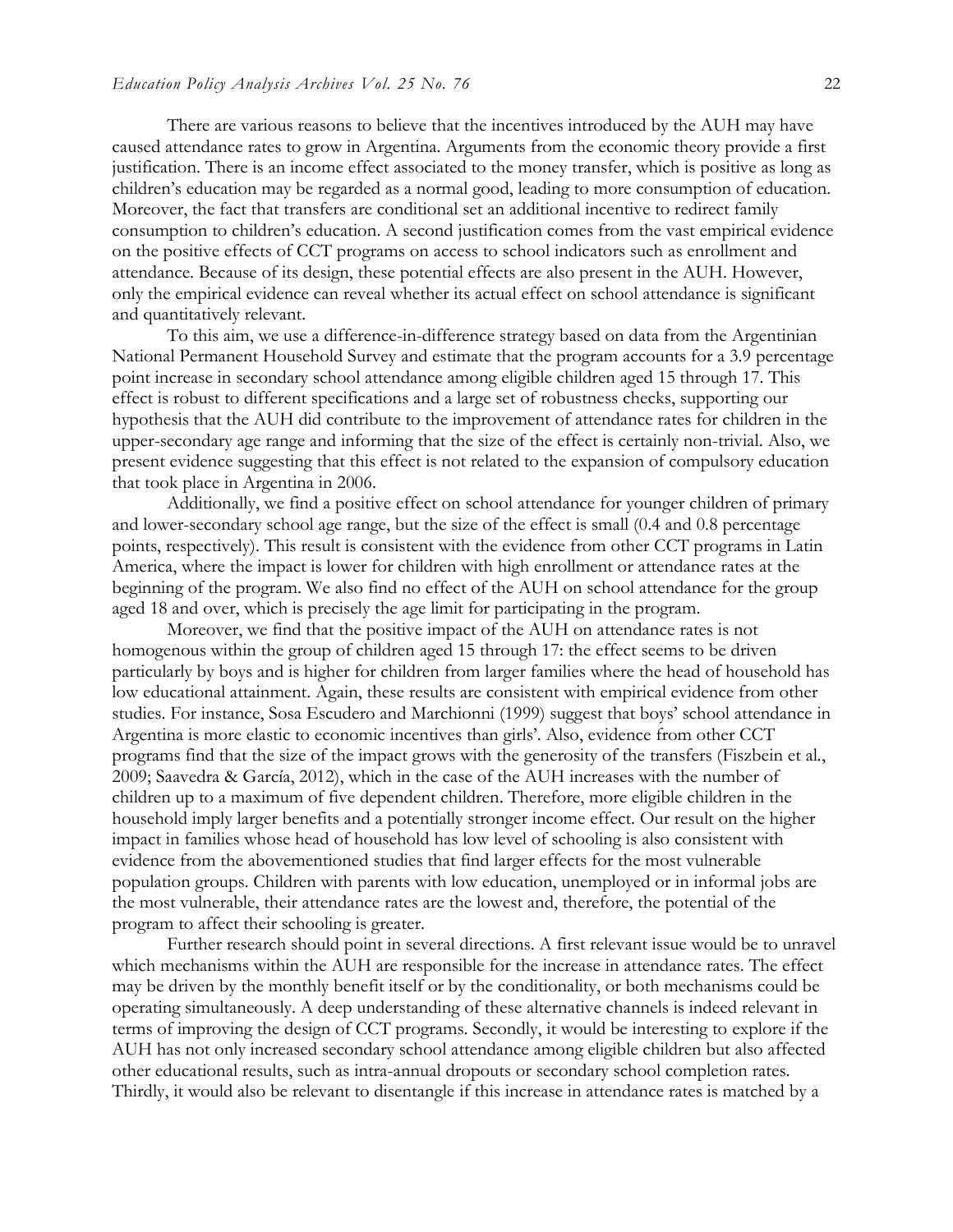There are various reasons to believe that the incentives introduced by the AUH may have caused attendance rates to grow in Argentina. Arguments from the economic theory provide a first justification. There is an income effect associated to the money transfer, which is positive as long as children's education may be regarded as a normal good, leading to more consumption of education. Moreover, the fact that transfers are conditional set an additional incentive to redirect family consumption to children's education. A second justification comes from the vast empirical evidence on the positive effects of CCT programs on access to school indicators such as enrollment and attendance. Because of its design, these potential effects are also present in the AUH. However, only the empirical evidence can reveal whether its actual effect on school attendance is significant and quantitatively relevant.

To this aim, we use a difference-in-difference strategy based on data from the Argentinian National Permanent Household Survey and estimate that the program accounts for a 3.9 percentage point increase in secondary school attendance among eligible children aged 15 through 17. This effect is robust to different specifications and a large set of robustness checks, supporting our hypothesis that the AUH did contribute to the improvement of attendance rates for children in the upper-secondary age range and informing that the size of the effect is certainly non-trivial. Also, we present evidence suggesting that this effect is not related to the expansion of compulsory education that took place in Argentina in 2006.

Additionally, we find a positive effect on school attendance for younger children of primary and lower-secondary school age range, but the size of the effect is small (0.4 and 0.8 percentage points, respectively). This result is consistent with the evidence from other CCT programs in Latin America, where the impact is lower for children with high enrollment or attendance rates at the beginning of the program. We also find no effect of the AUH on school attendance for the group aged 18 and over, which is precisely the age limit for participating in the program.

Moreover, we find that the positive impact of the AUH on attendance rates is not homogenous within the group of children aged 15 through 17: the effect seems to be driven particularly by boys and is higher for children from larger families where the head of household has low educational attainment. Again, these results are consistent with empirical evidence from other studies. For instance, Sosa Escudero and Marchionni (1999) suggest that boys' school attendance in Argentina is more elastic to economic incentives than girls'. Also, evidence from other CCT programs find that the size of the impact grows with the generosity of the transfers (Fiszbein et al*.*, 2009; Saavedra & García, 2012), which in the case of the AUH increases with the number of children up to a maximum of five dependent children. Therefore, more eligible children in the household imply larger benefits and a potentially stronger income effect. Our result on the higher impact in families whose head of household has low level of schooling is also consistent with evidence from the abovementioned studies that find larger effects for the most vulnerable population groups. Children with parents with low education, unemployed or in informal jobs are the most vulnerable, their attendance rates are the lowest and, therefore, the potential of the program to affect their schooling is greater.

Further research should point in several directions. A first relevant issue would be to unravel which mechanisms within the AUH are responsible for the increase in attendance rates. The effect may be driven by the monthly benefit itself or by the conditionality, or both mechanisms could be operating simultaneously. A deep understanding of these alternative channels is indeed relevant in terms of improving the design of CCT programs. Secondly, it would be interesting to explore if the AUH has not only increased secondary school attendance among eligible children but also affected other educational results, such as intra-annual dropouts or secondary school completion rates. Thirdly, it would also be relevant to disentangle if this increase in attendance rates is matched by a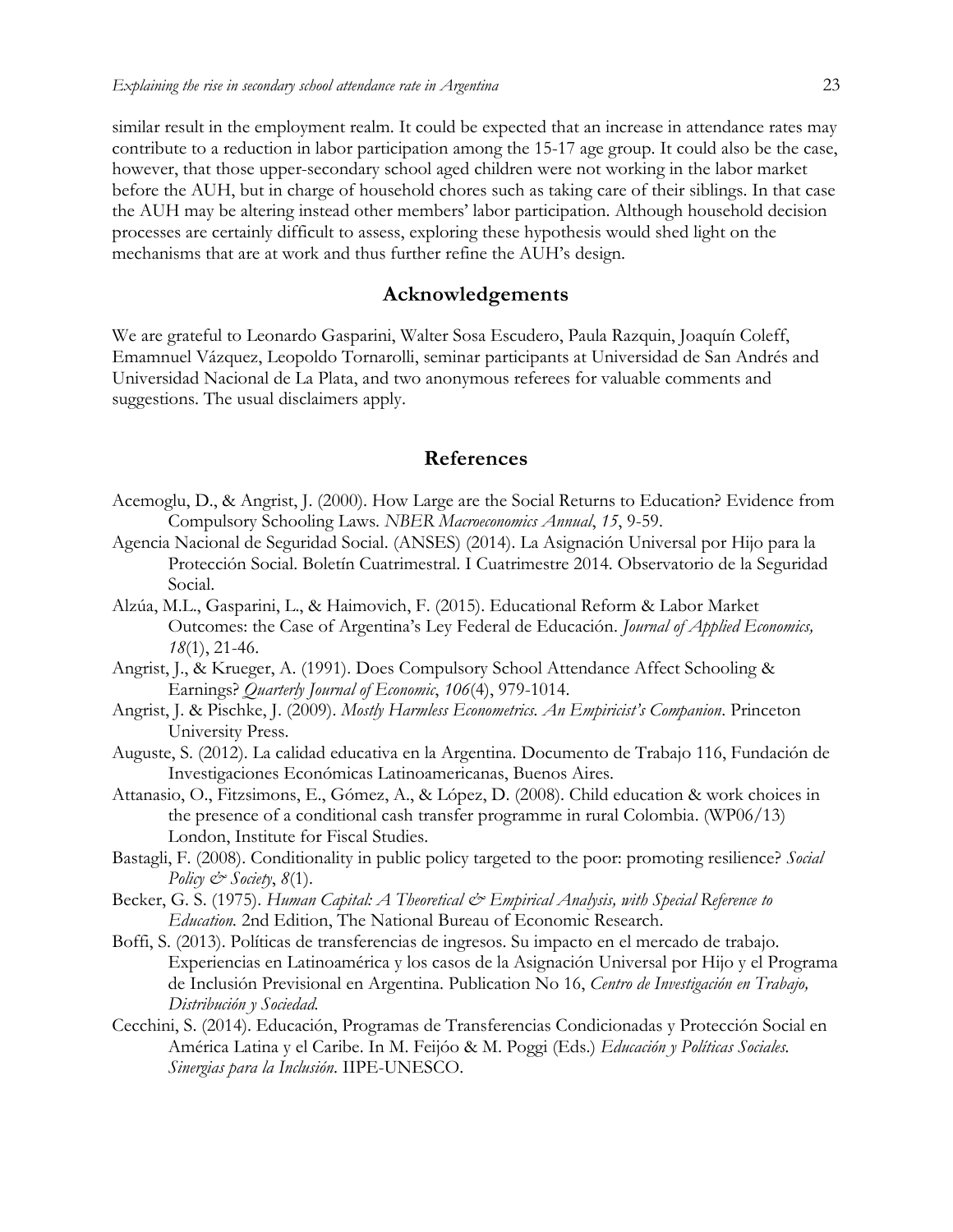similar result in the employment realm. It could be expected that an increase in attendance rates may contribute to a reduction in labor participation among the 15-17 age group. It could also be the case, however, that those upper-secondary school aged children were not working in the labor market before the AUH, but in charge of household chores such as taking care of their siblings. In that case the AUH may be altering instead other members' labor participation. Although household decision processes are certainly difficult to assess, exploring these hypothesis would shed light on the mechanisms that are at work and thus further refine the AUH's design.

#### **Acknowledgements**

We are grateful to Leonardo Gasparini, Walter Sosa Escudero, Paula Razquin, Joaquín Coleff, Emamnuel Vázquez, Leopoldo Tornarolli, seminar participants at Universidad de San Andrés and Universidad Nacional de La Plata, and two anonymous referees for valuable comments and suggestions. The usual disclaimers apply.

#### **References**

- Acemoglu, D., & Angrist, J. (2000). How Large are the Social Returns to Education? Evidence from Compulsory Schooling Laws. *NBER Macroeconomics Annual*, *15*, 9-59.
- Agencia Nacional de Seguridad Social. (ANSES) (2014). La Asignación Universal por Hijo para la Protección Social. Boletín Cuatrimestral. I Cuatrimestre 2014. Observatorio de la Seguridad Social.
- Alzúa, M.L., Gasparini, L., & Haimovich, F. (2015). Educational Reform & Labor Market Outcomes: the Case of Argentina's Ley Federal de Educación. *Journal of Applied Economics, 18*(1), 21-46.
- Angrist, J., & Krueger, A. (1991). Does Compulsory School Attendance Affect Schooling & Earnings? *Quarterly Journal of Economic*, *106*(4), 979-1014.
- Angrist, J. & Pischke, J. (2009). *Mostly Harmless Econometrics. An Empiricist's Companion*. Princeton University Press.
- Auguste, S. (2012). La calidad educativa en la Argentina. Documento de Trabajo 116, Fundación de Investigaciones Económicas Latinoamericanas, Buenos Aires.
- Attanasio, O., Fitzsimons, E., Gómez, A., & López, D. (2008). Child education & work choices in the presence of a conditional cash transfer programme in rural Colombia. (WP06/13) London, Institute for Fiscal Studies.
- Bastagli, F. (2008). Conditionality in public policy targeted to the poor: promoting resilience? *Social Policy & Society*, *8*(1).
- Becker, G. S. (1975). *Human Capital: A Theoretical & Empirical Analysis, with Special Reference to Education.* 2nd Edition, The National Bureau of Economic Research.
- Boffi, S. (2013). Políticas de transferencias de ingresos. Su impacto en el mercado de trabajo. Experiencias en Latinoamérica y los casos de la Asignación Universal por Hijo y el Programa de Inclusión Previsional en Argentina. Publication No 16, *Centro de Investigación en Trabajo, Distribución y Sociedad.*
- Cecchini, S. (2014). Educación, Programas de Transferencias Condicionadas y Protección Social en América Latina y el Caribe. In M. Feijóo & M. Poggi (Eds.) *Educación y Políticas Sociales. Sinergias para la Inclusión*. IIPE-UNESCO.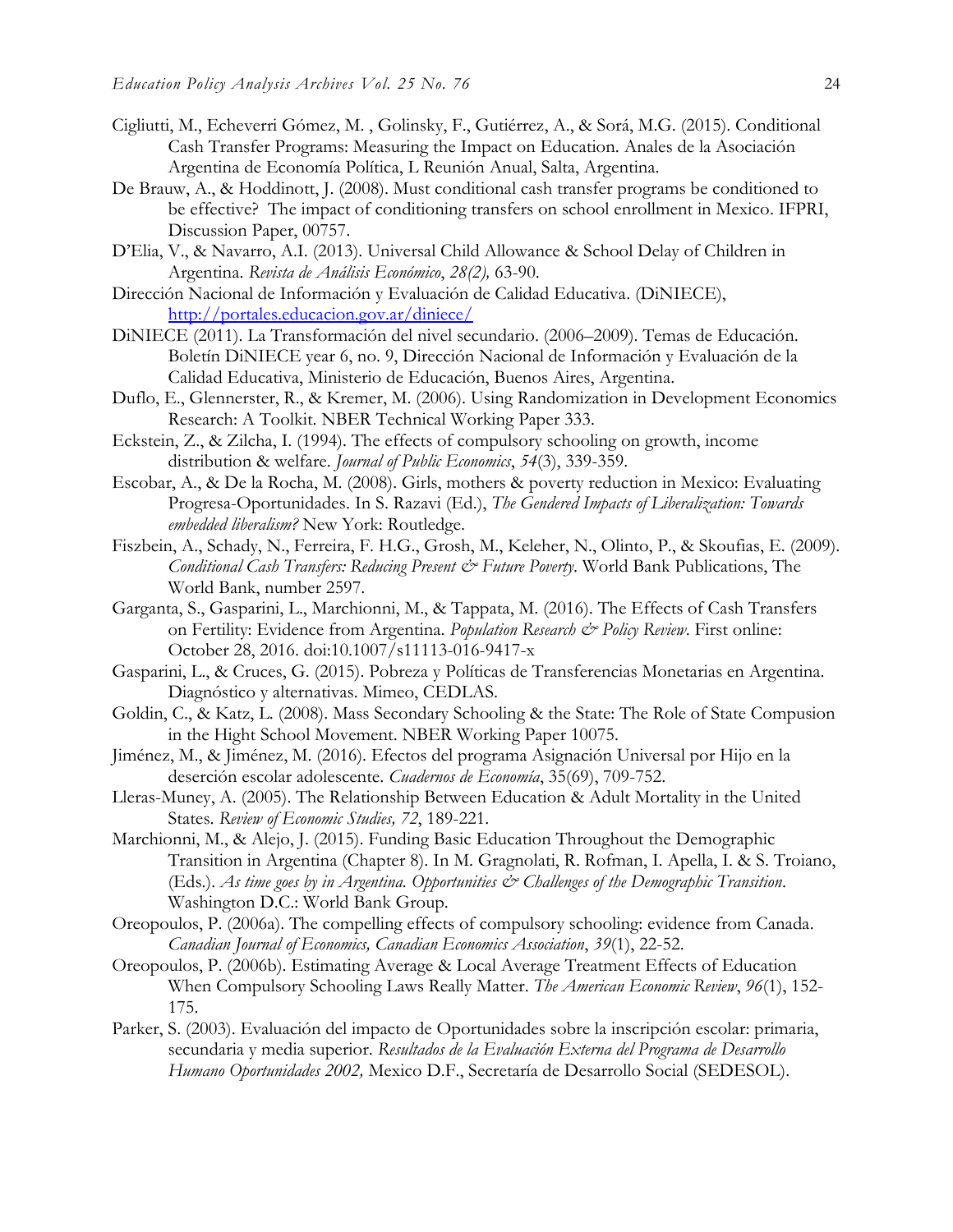- Cigliutti, M., Echeverri Gómez, M. , Golinsky, F., Gutiérrez, A., & Sorá, M.G. (2015). Conditional Cash Transfer Programs: Measuring the Impact on Education. Anales de la Asociación Argentina de Economía Política, L Reunión Anual, Salta, Argentina.
- De Brauw, A., & Hoddinott, J. (2008). Must conditional cash transfer programs be conditioned to be effective? The impact of conditioning transfers on school enrollment in Mexico. IFPRI, Discussion Paper, 00757.
- D'Elia, V., & Navarro, A.I. (2013). Universal Child Allowance & School Delay of Children in Argentina. *Revista de Análisis Económico*, *28(2),* 63-90.
- Dirección Nacional de Información y Evaluación de Calidad Educativa. (DiNIECE), <http://portales.educacion.gov.ar/diniece/>
- DiNIECE (2011). La Transformación del nivel secundario. (2006–2009). Temas de Educación. Boletín DiNIECE year 6, no. 9, Dirección Nacional de Información y Evaluación de la Calidad Educativa, Ministerio de Educación, Buenos Aires, Argentina.
- Duflo, E., Glennerster, R., & Kremer, M. (2006). Using Randomization in Development Economics Research: A Toolkit. NBER Technical Working Paper 333.
- Eckstein, Z., & Zilcha, I. (1994). The effects of compulsory schooling on growth, income distribution & welfare. *Journal of Public Economics*, *54*(3), 339-359.
- Escobar, A., & De la Rocha, M. (2008). Girls, mothers & poverty reduction in Mexico: Evaluating Progresa-Oportunidades. In S. Razavi (Ed.), *The Gendered Impacts of Liberalization: Towards embedded liberalism?* New York: Routledge.
- Fiszbein, A., Schady, N., Ferreira, F. H.G., Grosh, M., Keleher, N., Olinto, P., & Skoufias, E. (2009). *Conditional Cash Transfers: Reducing Present & Future Poverty*. World Bank Publications, The World Bank, number 2597.
- Garganta, S., Gasparini, L., Marchionni, M., & Tappata, M. (2016). The Effects of Cash Transfers on Fertility: Evidence from Argentina. *Population Research & Policy Review*. First online: October 28, 2016. doi:10.1007/s11113-016-9417-x
- Gasparini, L., & Cruces, G. (2015). Pobreza y Políticas de Transferencias Monetarias en Argentina. Diagnóstico y alternativas. Mimeo, CEDLAS.
- Goldin, C., & Katz, L. (2008). Mass Secondary Schooling & the State: The Role of State Compusion in the Hight School Movement. NBER Working Paper 10075.
- Jiménez, M., & Jiménez, M. (2016). Efectos del programa Asignación Universal por Hijo en la deserción escolar adolescente. *Cuadernos de Economía*, 35(69), 709-752.
- Lleras-Muney, A. (2005). The Relationship Between Education & Adult Mortality in the United States. *Review of Economic Studies, 72*, 189-221.
- Marchionni, M., & Alejo, J. (2015). Funding Basic Education Throughout the Demographic Transition in Argentina (Chapter 8). In M. Gragnolati, R. Rofman, I. Apella, I. & S. Troiano, (Eds.). *As time goes by in Argentina. Opportunities & Challenges of the Demographic Transition*. Washington D.C.: World Bank Group.
- Oreopoulos, P. (2006a). The compelling effects of compulsory schooling: evidence from Canada. *Canadian Journal of Economics, Canadian Economics Association*, *39*(1), 22-52.
- Oreopoulos, P. (2006b). Estimating Average & Local Average Treatment Effects of Education When Compulsory Schooling Laws Really Matter. *The American Economic Review*, *96*(1), 152- 175.
- Parker, S. (2003). Evaluación del impacto de Oportunidades sobre la inscripción escolar: primaria, secundaria y media superior. *Resultados de la Evaluación Externa del Programa de Desarrollo Humano Oportunidades 2002,* Mexico D.F., Secretaría de Desarrollo Social (SEDESOL).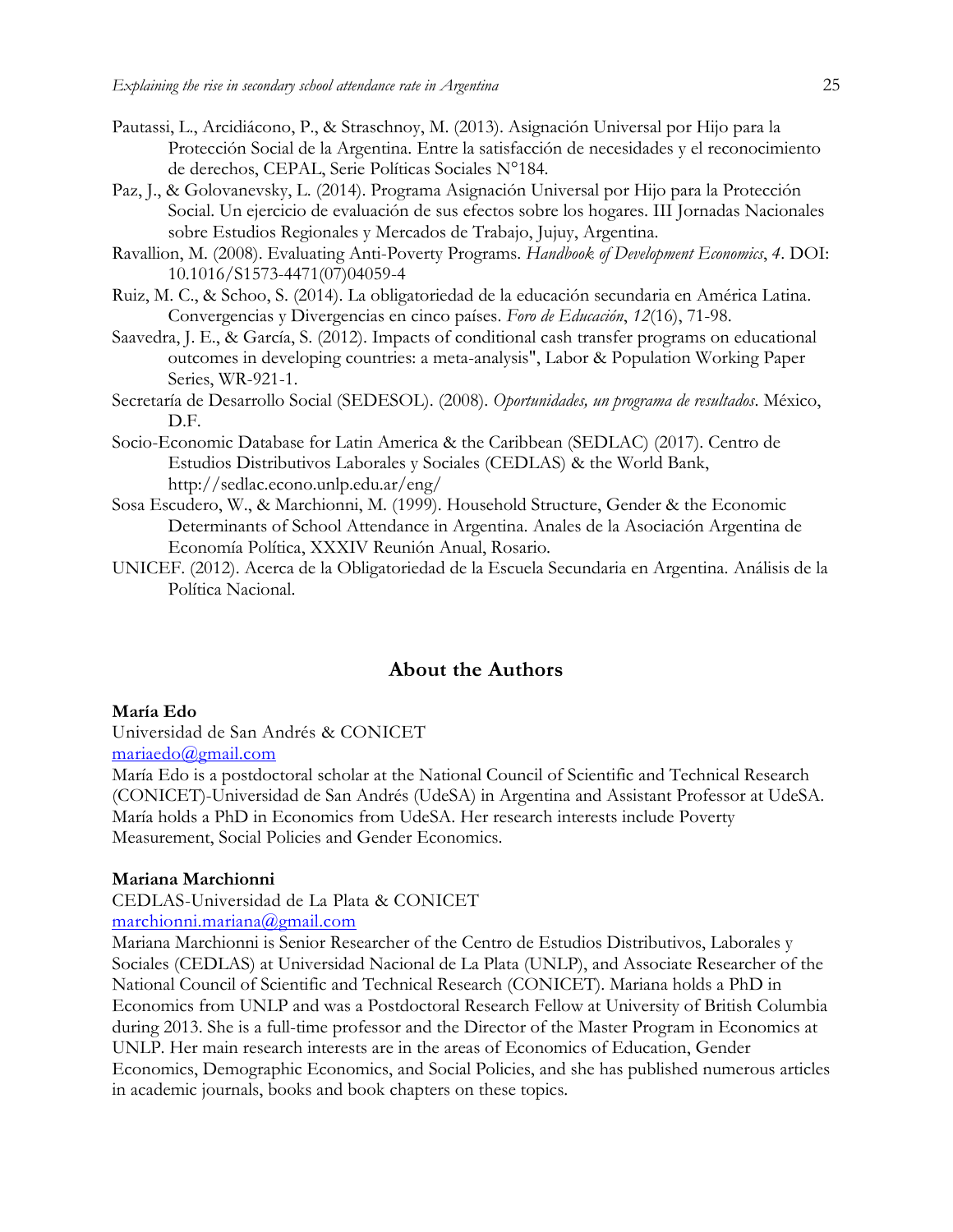- Pautassi, L., Arcidiácono, P., & Straschnoy, M. (2013). Asignación Universal por Hijo para la Protección Social de la Argentina. Entre la satisfacción de necesidades y el reconocimiento de derechos, CEPAL, Serie Políticas Sociales N°184.
- Paz, J., & Golovanevsky, L. (2014). Programa Asignación Universal por Hijo para la Protección Social. Un ejercicio de evaluación de sus efectos sobre los hogares. III Jornadas Nacionales sobre Estudios Regionales y Mercados de Trabajo, Jujuy, Argentina.
- Ravallion, M. (2008). Evaluating Anti-Poverty Programs. *Handbook of Development Economics*, *4*. DOI: 10.1016/S1573-4471(07)04059-4
- Ruiz, M. C., & Schoo, S. (2014). La obligatoriedad de la educación secundaria en América Latina. Convergencias y Divergencias en cinco países. *Foro de Educación*, *12*(16), 71-98.
- Saavedra, J. E., & García, S. (2012). Impacts of conditional cash transfer programs on educational outcomes in developing countries: a meta-analysis", Labor & Population Working Paper Series, WR-921-1.
- Secretaría de Desarrollo Social (SEDESOL). (2008). *Oportunidades, un programa de resultados*. México, D.F.
- Socio-Economic Database for Latin America & the Caribbean (SEDLAC) (2017). Centro de Estudios Distributivos Laborales y Sociales (CEDLAS) & the World Bank, <http://sedlac.econo.unlp.edu.ar/eng/>
- Sosa Escudero, W., & Marchionni, M. (1999). Household Structure, Gender & the Economic Determinants of School Attendance in Argentina. Anales de la Asociación Argentina de Economía Política, XXXIV Reunión Anual, Rosario.
- UNICEF. (2012). Acerca de la Obligatoriedad de la Escuela Secundaria en Argentina. Análisis de la Política Nacional.

# **About the Authors**

#### **María Edo**

Universidad de San Andrés & CONICET [mariaedo@gmail.com](mailto:mariaedo@gmail.com)

María Edo is a postdoctoral scholar at the National Council of Scientific and Technical Research (CONICET)-Universidad de San Andrés (UdeSA) in Argentina and Assistant Professor at UdeSA. María holds a PhD in Economics from UdeSA. Her research interests include Poverty Measurement, Social Policies and Gender Economics.

#### **Mariana Marchionni**

CEDLAS-Universidad de La Plata & CONICET [marchionni.mariana@gmail.com](mailto:marchionni.mariana@gmail.com)

Mariana Marchionni is Senior Researcher of the Centro de Estudios Distributivos, Laborales y Sociales (CEDLAS) at Universidad Nacional de La Plata (UNLP), and Associate Researcher of the National Council of Scientific and Technical Research (CONICET). Mariana holds a PhD in Economics from UNLP and was a Postdoctoral Research Fellow at University of British Columbia during 2013. She is a full-time professor and the Director of the Master Program in Economics at UNLP. Her main research interests are in the areas of Economics of Education, Gender Economics, Demographic Economics, and Social Policies, and she has published numerous articles in academic journals, books and book chapters on these topics.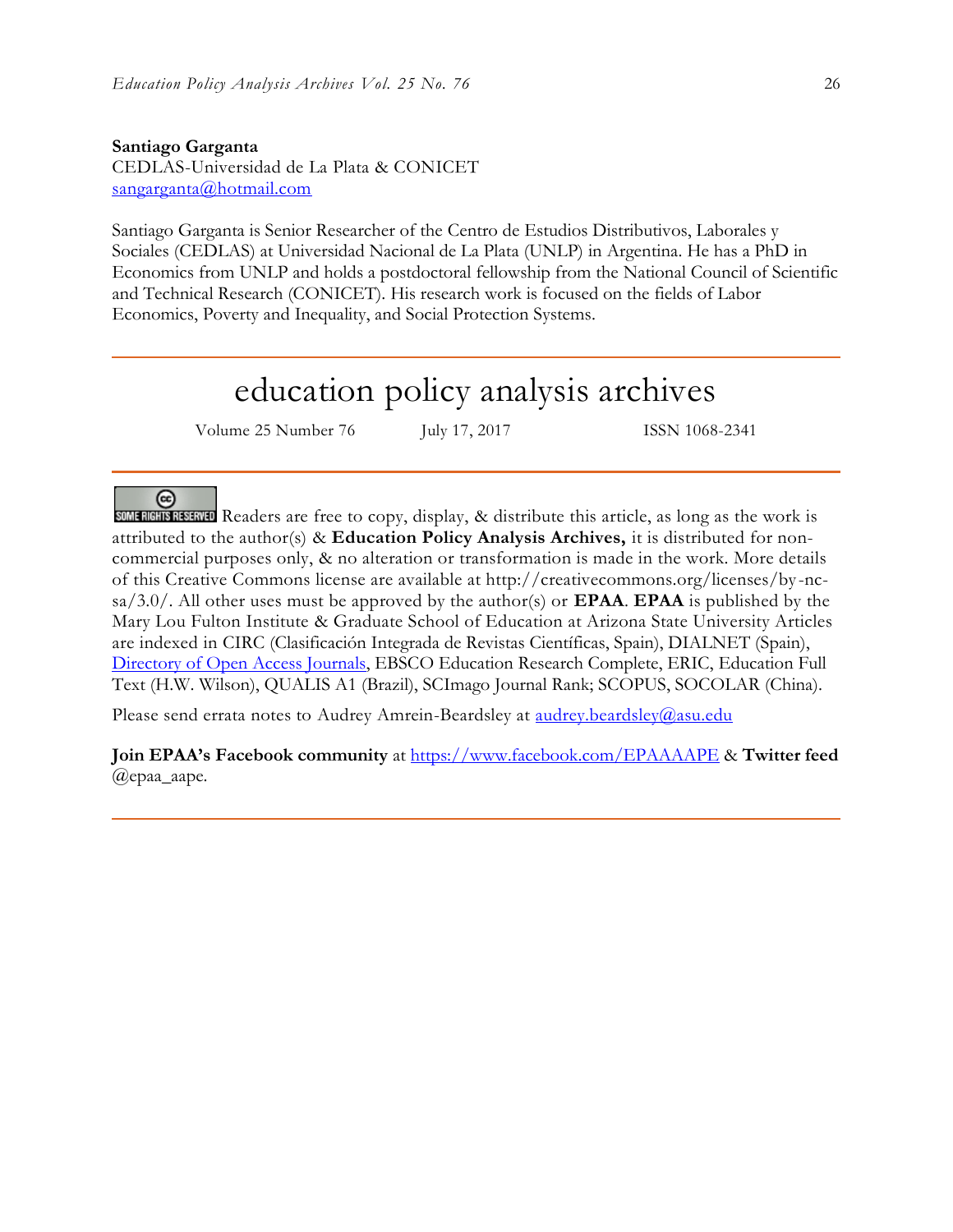#### **Santiago Garganta**

CEDLAS-Universidad de La Plata & CONICET [sangarganta@hotmail.com](mailto:sangarganta@hotmail.com)

Santiago Garganta is Senior Researcher of the Centro de Estudios Distributivos, Laborales y Sociales (CEDLAS) at Universidad Nacional de La Plata (UNLP) in Argentina. He has a PhD in Economics from UNLP and holds a postdoctoral fellowship from the National Council of Scientific and Technical Research (CONICET). His research work is focused on the fields of Labor Economics, Poverty and Inequality, and Social Protection Systems.

# education policy analysis archives

Volume 25 Number 76 July 17, 2017 ISSN 1068-2341

 $(c)$ 

SOME RIGHTS RESERVED Readers are free to copy, display, & distribute this article, as long as the work is attributed to the author(s) & **Education Policy Analysis Archives,** it is distributed for noncommercial purposes only, & no alteration or transformation is made in the work. More details of this Creative Commons license are available at http://creativecommons.org/licenses/by -ncsa/3.0/. All other uses must be approved by the author(s) or **EPAA**. **EPAA** is published by the Mary Lou Fulton Institute & Graduate School of Education at Arizona State University Articles are indexed in CIRC (Clasificación Integrada de Revistas Científicas, Spain), DIALNET (Spain), [Directory of Open Access Journals,](http://www.doaj.org/) EBSCO Education Research Complete, ERIC, Education Full Text (H.W. Wilson), QUALIS A1 (Brazil), SCImago Journal Rank; SCOPUS, SOCOLAR (China).

Please send errata notes to Audrey Amrein-Beardsley at [audrey.beardsley@asu.edu](mailto:audrey.beardsley@asu.edu)

**Join EPAA's Facebook community** at<https://www.facebook.com/EPAAAAPE> & **Twitter feed**  @epaa\_aape.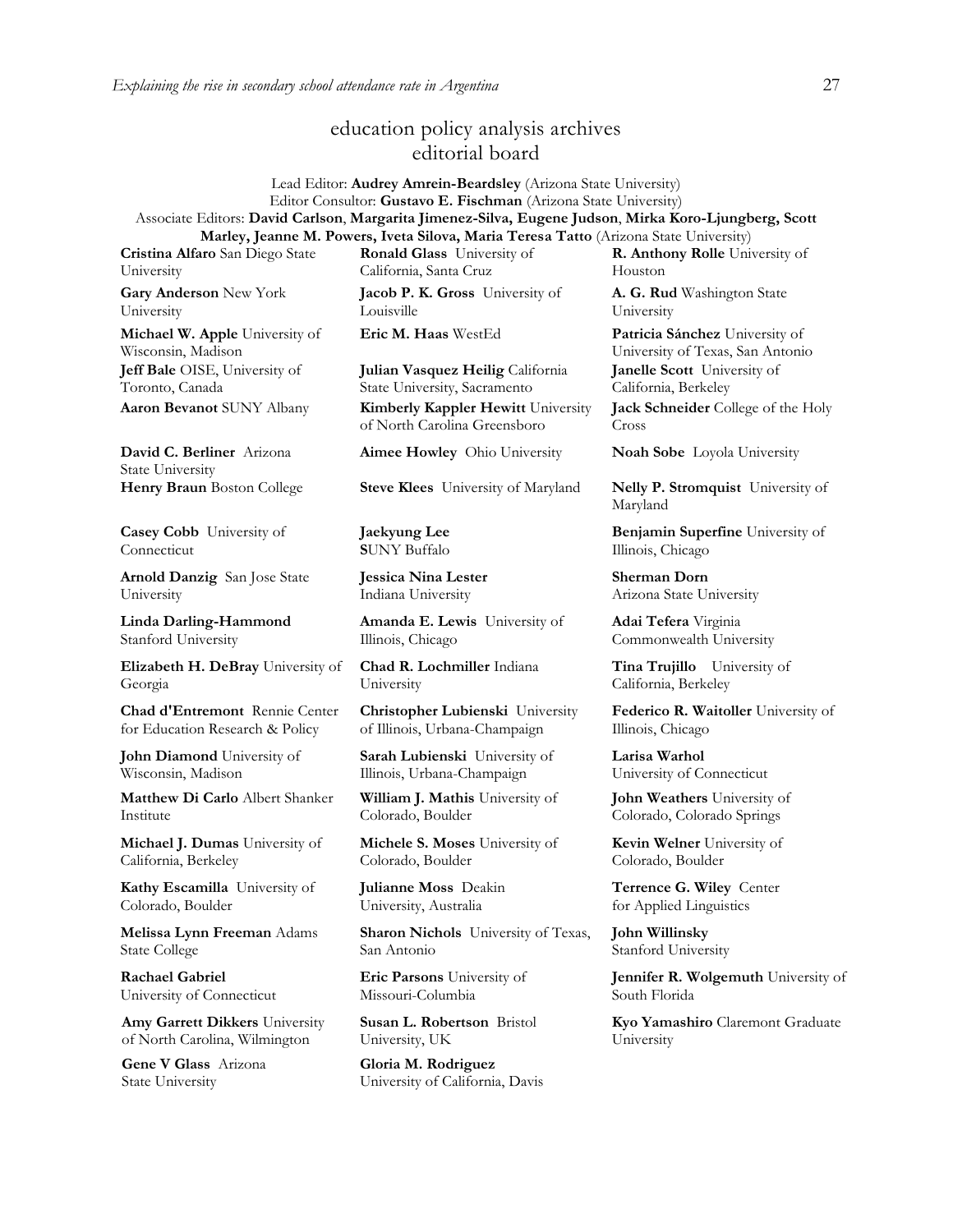# education policy analysis archives editorial board

#### Lead Editor: **Audrey Amrein-Beardsley** (Arizona State University) Editor Consultor: **Gustavo E. Fischman** (Arizona State University) Associate Editors: **David Carlson**, **Margarita Jimenez-Silva, Eugene Judson**, **Mirka Koro-Ljungberg, Scott Marley, Jeanne M. Powers, Iveta Silova, Maria Teresa Tatto** (Arizona State University)

**Cristina Alfaro** San Diego State University

**Gary Anderson** New York University

**Michael W. Apple** University of Wisconsin, Madison **Jeff Bale** OISE, University of Toronto, Canada

**David C. Berliner** Arizona State University

**Casey Cobb** University of Connecticut

**Arnold Danzig** San Jose State University

**Linda Darling-Hammond**  Stanford University

**Elizabeth H. DeBray** University of Georgia

**Chad d'Entremont** Rennie Center for Education Research & Policy

**John Diamond** University of Wisconsin, Madison

**Matthew Di Carlo** Albert Shanker Institute

**Michael J. Dumas** University of California, Berkeley

**Kathy Escamilla** University of Colorado, Boulder

**Melissa Lynn Freeman** Adams State College

**Rachael Gabriel** University of Connecticut

**Amy Garrett Dikkers** University of North Carolina, Wilmington

**Gene V Glass** Arizona State University

**Ronald Glass** University of California, Santa Cruz

**Jacob P. K. Gross** University of Louisville

**Julian Vasquez Heilig** California State University, Sacramento **Aaron Bevanot** SUNY Albany **Kimberly Kappler Hewitt** University of North Carolina Greensboro

**Henry Braun** Boston College **Steve Klees** University of Maryland **Nelly P. Stromquist** University of

**Jaekyung Lee S**UNY Buffalo

**Jessica Nina Lester** Indiana University

**Amanda E. Lewis** University of Illinois, Chicago

**Chad R. Lochmiller** Indiana University

**Christopher Lubienski** University of Illinois, Urbana-Champaign

**Sarah Lubienski** University of Illinois, Urbana-Champaign

**William J. Mathis** University of Colorado, Boulder

**Michele S. Moses** University of Colorado, Boulder

**Julianne Moss** Deakin University, Australia

**Sharon Nichols** University of Texas, San Antonio

**Eric Parsons** University of Missouri-Columbia

**Susan L. Robertson** Bristol University, UK

**Gloria M. Rodriguez** University of California, Davis **R. Anthony Rolle** University of Houston

**A. G. Rud** Washington State University

**Eric M. Haas** WestEd **Patricia Sánchez** University of University of Texas, San Antonio **Janelle Scott** University of California, Berkeley **Jack Schneider** College of the Holy Cross

**Aimee Howley** Ohio University **Noah Sobe** Loyola University

Maryland

**Benjamin Superfine** University of Illinois, Chicago

**Sherman Dorn** Arizona State University

**Adai Tefera** Virginia Commonwealth University

**Tina Trujillo** University of California, Berkeley

**Federico R. Waitoller** University of Illinois, Chicago

**Larisa Warhol** University of Connecticut

**John Weathers** University of Colorado, Colorado Springs

**Kevin Welner** University of Colorado, Boulder

**Terrence G. Wiley** Center for Applied Linguistics

**John Willinsky**  Stanford University

**Jennifer R. Wolgemuth** University of South Florida

**Kyo Yamashiro** Claremont Graduate University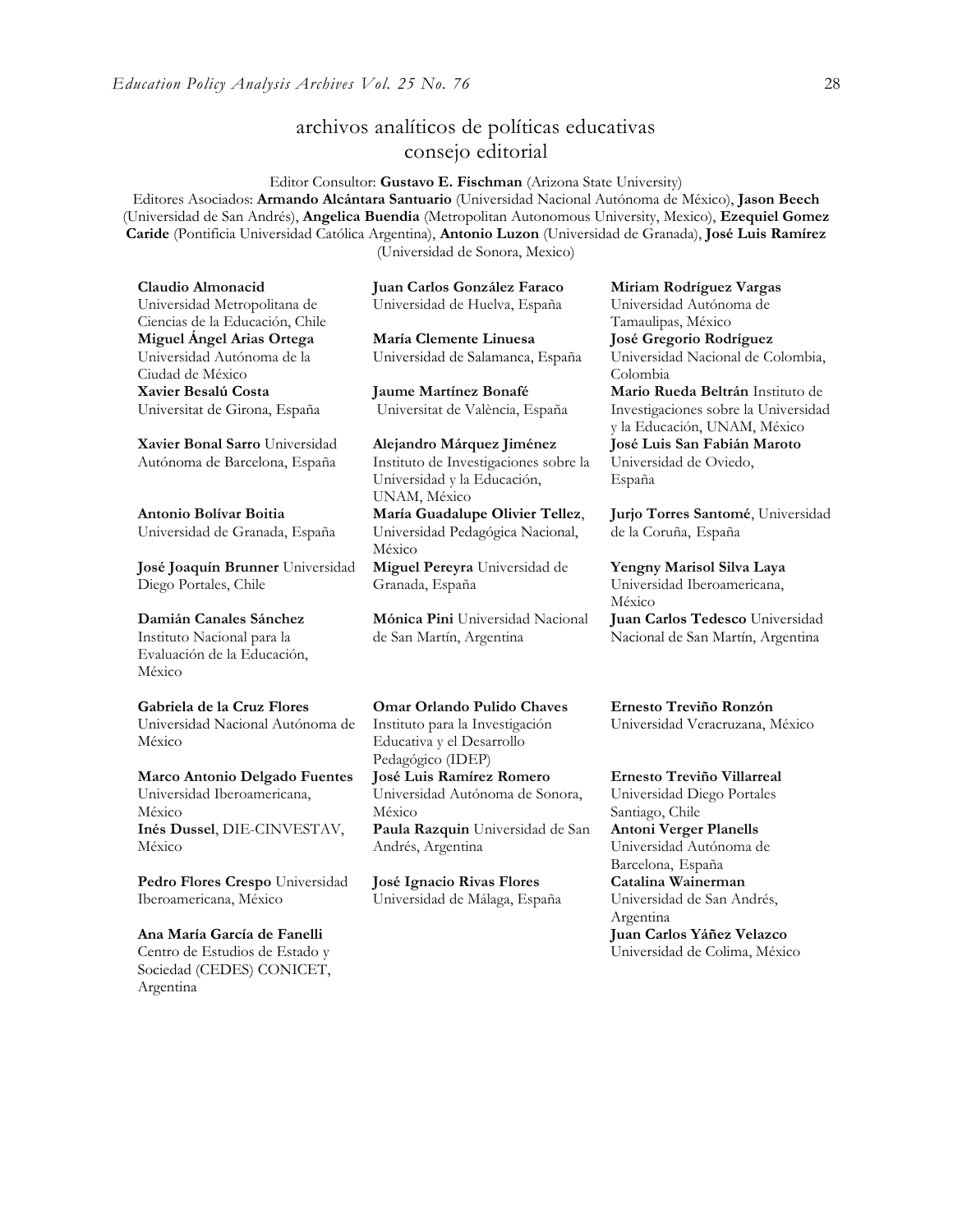# archivos analíticos de políticas educativas consejo editorial

Editor Consultor: **Gustavo E. Fischman** (Arizona State University) Editores Asociados: **Armando Alcántara Santuario** (Universidad Nacional Autónoma de México), **Jason Beech** (Universidad de San Andrés), **Angelica Buendia** (Metropolitan Autonomous University, Mexico), **Ezequiel Gomez Caride** (Pontificia Universidad Católica Argentina), **Antonio Luzon** (Universidad de Granada), **José Luis Ramírez**  (Universidad de Sonora, Mexico)

**Claudio Almonacid** Universidad Metropolitana de Ciencias de la Educación, Chile **Miguel Ángel Arias Ortega**  Universidad Autónoma de la Ciudad de México **Xavier Besalú Costa**  Universitat de Girona, España

**[Xavier Bonal](javascript:openRTWindow() Sarro** Universidad Autónoma de Barcelona, España

**[Antonio Bolívar](javascript:openRTWindow() Boitia** Universidad de Granada, España

**[José Joaquín Brunner](javascript:openRTWindow()** Universidad Diego Portales, Chile

# **[Damián Canales Sánchez](javascript:openRTWindow()**

Instituto Nacional para la Evaluación de la Educación, México

#### **Gabriela de la Cruz Flores**

Universidad Nacional Autónoma de México

#### **[Marco Antonio Delgado Fuentes](javascript:openRTWindow()** Universidad Iberoamericana, México **[Inés Dussel](javascript:openRTWindow()**, DIE-CINVESTAV, México

**[Pedro Flores Crespo](javascript:openRTWindow()** Universidad Iberoamericana, México

#### **Ana María García de Fanelli**  Centro de Estudios de Estado y Sociedad (CEDES) CONICET, Argentina

**Juan Carlos González Faraco**  Universidad de Huelva, España

**María Clemente Linuesa**  Universidad de Salamanca, España

**Jaume Martínez Bonafé** Universitat de València, España

**Alejandro Márquez Jiménez**  Instituto de Investigaciones sobre la Universidad y la Educación, UNAM, México **María Guadalupe Olivier Tellez**, Universidad Pedagógica Nacional, México **[Miguel Pereyra](javascript:openRTWindow()** Universidad de Granada, España

**[Mónica Pini](javascript:openRTWindow()** Universidad Nacional de San Martín, Argentina

**Omar Orlando Pulido Chaves** Instituto para la Investigación Educativa y el Desarrollo Pedagógico (IDEP)

**[José Luis Ramírez](javascript:openRTWindow() Romero** Universidad Autónoma de Sonora, México **[Paula Razquin](javascript:openRTWindow()** Universidad de San

Andrés, Argentina

**José Ignacio Rivas Flores** Universidad de Málaga, España **[Miriam Rodríguez Vargas](javascript:openRTWindow()** Universidad Autónoma de Tamaulipas, México **José Gregorio Rodríguez**  Universidad Nacional de Colombia, Colombia **[Mario Rueda Beltrán](javascript:openRTWindow()** Instituto de Investigaciones sobre la Universidad y la Educación, UNAM, México **José Luis San Fabián Maroto** 

Universidad de Oviedo, España

**[Jurjo Torres Santomé](javascript:openRTWindow()**, Universidad de la Coruña, España

**[Yengny Marisol Silva Laya](javascript:openRTWindow()** Universidad Iberoamericana, México **Juan Carlos Tedesco** Universidad Nacional de San Martín, Argentina

**Ernesto Treviño Ronzón** Universidad Veracruzana, México

**[Ernesto Treviño](javascript:openRTWindow() Villarreal** Universidad Diego Portales Santiago, Chile **[Antoni Verger Planells](javascript:openRTWindow()** Universidad Autónoma de Barcelona, España **[Catalina Wainerman](javascript:openRTWindow()** Universidad de San Andrés, Argentina **Juan Carlos Yáñez Velazco** Universidad de Colima, México